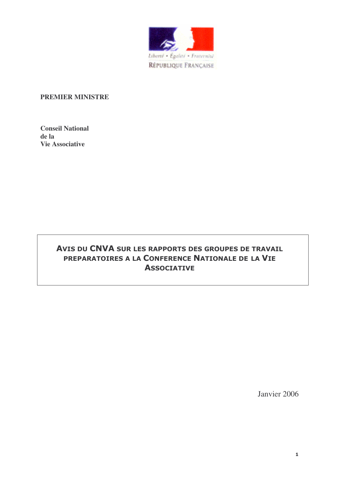

#### **PREMIER MINISTRE**

**Conseil National de la Vie Associative**

# AVIS DU CNVA SUR LES RAPPORTS DES GROUPES DE TRAVAIL PREPARATOIRES A LA CONFERENCE NATIONALE DE LA VIE **ASSOCIATIVE**

Janvier 2006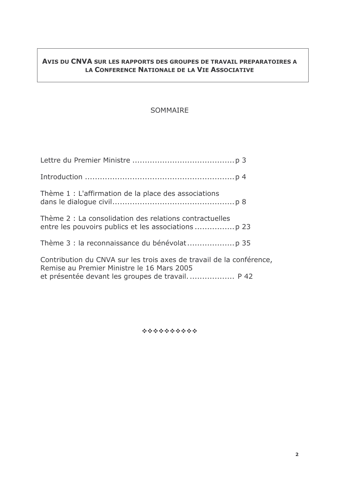# AVIS DU CNVA SUR LES RAPPORTS DES GROUPES DE TRAVAIL PREPARATOIRES A LA CONFERENCE NATIONALE DE LA VIE ASSOCIATIVE

# SOMMAIRE

| Thème 1 : L'affirmation de la place des associations                                                               |  |
|--------------------------------------------------------------------------------------------------------------------|--|
| Thème 2 : La consolidation des relations contractuelles                                                            |  |
|                                                                                                                    |  |
| Contribution du CNVA sur les trois axes de travail de la conférence,<br>Remise au Premier Ministre le 16 Mars 2005 |  |
|                                                                                                                    |  |

\*\*\*\*\*\*\*\*\*\*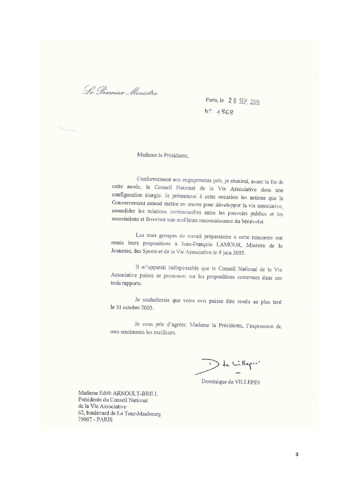Le Premier Ministre

Paris, le 28 SEP 2005 Nº 1868

Madame la Présidente,

Conformément aux engagements pris, je réunirai, avant la fin de cette année, le Conseil National de la Vie Associative dans une configuration élargic. Je présenterai à cette occasion les actions que le Gouvernement entend mettre en œuvre pour développer la vie associative, consolider les relations contractuelles entre les pouvoirs publics et les associations et favoriscr une meilleure reconnaissance du bénévolat.

Les trois groupes de travail préparatoire à cette rencontre ont remis leurs propositions à Jean-François LAMOUR, Ministre de la Jeunesse, des Sports et de la Vie Associative le 9 juin 2005.

Il m'apparaît indispensable que le Conseil National de la Vie Associative puisse se prononcer sur les propositions contenues dans ces trois rapports.

Je souhaiterais que votre avis puisse être rendu au plus tard le 31 octobre 2005.

Je vous pric d'agréer, Madame la Présidente, l'expression de mes sentiments les meilleurs

 $\cup$  de Lilleque'

Dominique de VILLEPIN

Madame Edith ARNOULT-BRILL Présidente du Conseil National de la Vie Associative 62, boulevard de La Tour-Maubourg 75007 - PARIS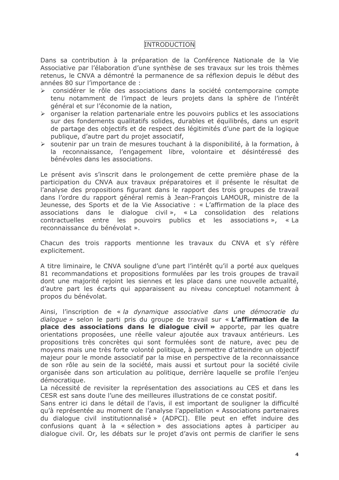#### **INTRODUCTION**

Dans sa contribution à la préparation de la Conférence Nationale de la Vie Associative par l'élaboration d'une synthèse de ses travaux sur les trois thèmes retenus, le CNVA a démontré la permanence de sa réflexion depuis le début des années 80 sur l'importance de :

- considérer le rôle des associations dans la société contemporaine compte  $\blacktriangleright$ tenu notamment de l'impact de leurs projets dans la sphère de l'intérêt général et sur l'économie de la nation,
- $\triangleright$  organiser la relation partenariale entre les pouvoirs publics et les associations sur des fondements qualitatifs solides, durables et équilibrés, dans un esprit de partage des objectifs et de respect des légitimités d'une part de la logique publique, d'autre part du projet associatif,
- > soutenir par un train de mesures touchant à la disponibilité, à la formation, à la reconnaissance, l'engagement libre, volontaire et désintéressé des bénévoles dans les associations.

Le présent avis s'inscrit dans le prolongement de cette première phase de la participation du CNVA aux travaux préparatoires et il présente le résultat de l'analyse des propositions figurant dans le rapport des trois groupes de travail dans l'ordre du rapport général remis à Jean-Francois LAMOUR, ministre de la Jeunesse, des Sports et de la Vie Associative : « L'affirmation de la place des associations dans le dialogue civil », « La consolidation des relations entre les pouvoirs publics et les associations», contractuelles « La reconnaissance du bénévolat ».

Chacun des trois rapports mentionne les travaux du CNVA et s'y réfère explicitement.

A titre liminaire, le CNVA souligne d'une part l'intérêt qu'il a porté aux quelques 81 recommandations et propositions formulées par les trois groupes de travail dont une majorité rejoint les siennes et les place dans une nouvelle actualité, d'autre part les écarts qui apparaissent au niveau conceptuel notamment à propos du bénévolat.

Ainsi, l'inscription de « la dynamique associative dans une démocratie du dialogue » selon le parti pris du groupe de travail sur « L'affirmation de la place des associations dans le dialogue civil » apporte, par les quatre orientations proposées, une réelle valeur ajoutée aux travaux antérieurs. Les propositions très concrètes qui sont formulées sont de nature, avec peu de moyens mais une très forte volonté politique, à permettre d'atteindre un objectif majeur pour le monde associatif par la mise en perspective de la reconnaissance de son rôle au sein de la société, mais aussi et surtout pour la société civile organisée dans son articulation au politique, derrière laquelle se profile l'enjeu démocratique.

La nécessité de revisiter la représentation des associations au CES et dans les CESR est sans doute l'une des meilleures illustrations de ce constat positif.

Sans entrer ici dans le détail de l'avis, il est important de souligner la difficulté gu'à représentée au moment de l'analyse l'appellation « Associations partenaires du dialogue civil institutionnalisé » (ADPCI). Elle peut en effet induire des confusions quant à la « sélection » des associations aptes à participer au dialogue civil. Or, les débats sur le projet d'avis ont permis de clarifier le sens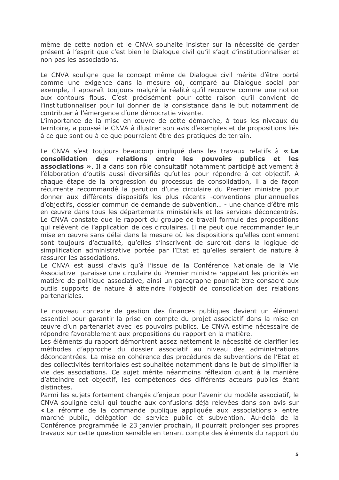même de cette notion et le CNVA souhaite insister sur la nécessité de garder présent à l'esprit que c'est bien le Dialogue civil qu'il s'agit d'institutionnaliser et non pas les associations.

Le CNVA souligne que le concept même de Dialogue civil mérite d'être porté comme une exigence dans la mesure où, comparé au Dialogue social par exemple, il apparaît toujours malgré la réalité qu'il recouvre comme une notion aux contours flous. C'est précisément pour cette raison qu'il convient de l'institutionnaliser pour lui donner de la consistance dans le but notamment de contribuer à l'émergence d'une démocratie vivante.

L'importance de la mise en œuvre de cette démarche, à tous les niveaux du territoire, a poussé le CNVA à illustrer son avis d'exemples et de propositions liés à ce que sont ou à ce que pourraient être des pratiques de terrain.

Le CNVA s'est toujours beaucoup impliqué dans les travaux relatifs à « La consolidation des relations entre les pouvoirs publics et les associations ». Il a dans son rôle consultatif notamment participé activement à l'élaboration d'outils aussi diversifiés qu'utiles pour répondre à cet objectif. A chaque étape de la progression du processus de consolidation, il a de facon récurrente recommandé la parution d'une circulaire du Premier ministre pour donner aux différents dispositifs les plus récents -conventions pluriannuelles d'objectifs, dossier commun de demande de subvention... - une chance d'être mis en œuvre dans tous les départements ministériels et les services déconcentrés. Le CNVA constate que le rapport du groupe de travail formule des propositions qui relèvent de l'application de ces circulaires. Il ne peut que recommander leur mise en œuvre sans délai dans la mesure où les dispositions qu'elles contiennent sont toujours d'actualité, qu'elles s'inscrivent de surcroît dans la logique de simplification administrative portée par l'Etat et qu'elles seraient de nature à rassurer les associations.

Le CNVA est aussi d'avis qu'à l'issue de la Conférence Nationale de la Vie Associative paraisse une circulaire du Premier ministre rappelant les priorités en matière de politique associative, ainsi un paragraphe pourrait être consacré aux outils supports de nature à atteindre l'objectif de consolidation des relations partenariales.

Le nouveau contexte de gestion des finances publiques devient un élément essentiel pour garantir la prise en compte du projet associatif dans la mise en œuvre d'un partenariat avec les pouvoirs publics. Le CNVA estime nécessaire de répondre favorablement aux propositions du rapport en la matière.

Les éléments du rapport démontrent assez nettement la nécessité de clarifier les méthodes d'approche du dossier associatif au niveau des administrations déconcentrées. La mise en cohérence des procédures de subventions de l'Etat et des collectivités territoriales est souhaitée notamment dans le but de simplifier la vie des associations. Ce sujet mérite néanmoins réflexion quant à la manière d'atteindre cet objectif, les compétences des différents acteurs publics étant distinctes.

Parmi les sujets fortement chargés d'enjeux pour l'avenir du modèle associatif, le CNVA souligne celui qui touche aux confusions déjà relevées dans son avis sur « La réforme de la commande publique appliquée aux associations » entre marché public, délégation de service public et subvention. Au-delà de la Conférence programmée le 23 janvier prochain, il pourrait prolonger ses propres travaux sur cette question sensible en tenant compte des éléments du rapport du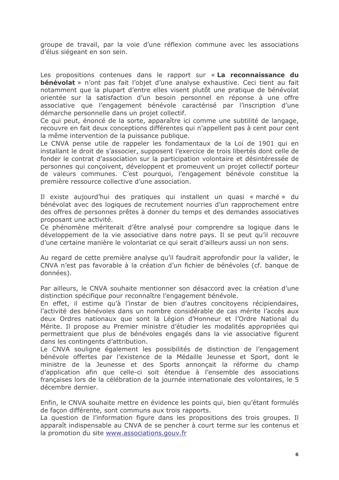groupe de travail, par la voie d'une réflexion commune avec les associations d'élus siégeant en son sein.

Les propositions contenues dans le rapport sur « La reconnaissance du **bénévolat** » n'ont pas fait l'objet d'une analyse exhaustive. Ceci tient au fait notamment que la plupart d'entre elles visent plutôt une pratique de bénévolat orientée sur la satisfaction d'un besoin personnel en réponse à une offre associative que l'engagement bénévole caractérisé par l'inscription d'une démarche personnelle dans un projet collectif.

Ce qui peut, énoncé de la sorte, apparaître ici comme une subtilité de langage, recouvre en fait deux conceptions différentes qui n'appellent pas à cent pour cent la même intervention de la puissance publique.

Le CNVA pense utile de rappeler les fondamentaux de la Loi de 1901 qui en installant le droit de s'associer, supposent l'exercice de trois libertés dont celle de fonder le contrat d'association sur la participation volontaire et désintéressée de personnes qui conçoivent, développent et promeuvent un projet collectif porteur de valeurs communes. C'est pourquoi, l'engagement bénévole constitue la première ressource collective d'une association.

Il existe aujourd'hui des pratiques qui installent un quasi « marché » du bénévolat avec des logiques de recrutement nourries d'un rapprochement entre des offres de personnes prêtes à donner du temps et des demandes associatives proposant une activité.

Ce phénomène mériterait d'être analysé pour comprendre sa logique dans le développement de la vie associative dans notre pays. Il se peut qu'il recouvre d'une certaine manière le volontariat ce qui serait d'ailleurs aussi un non sens.

Au regard de cette première analyse qu'il faudrait approfondir pour la valider, le CNVA n'est pas favorable à la création d'un fichier de bénévoles (cf. banque de données).

Par ailleurs, le CNVA souhaite mentionner son désaccord avec la création d'une distinction spécifique pour reconnaître l'engagement bénévole.

En effet, il estime qu'à l'instar de bien d'autres concitovens récipiendaires, l'activité des bénévoles dans un nombre considérable de cas mérite l'accès aux deux Ordres nationaux que sont la Légion d'Honneur et l'Ordre National du Mérite. Il propose au Premier ministre d'étudier les modalités appropriées qui permettraient que plus de bénévoles engagés dans la vie associative figurent dans les contingents d'attribution.

Le CNVA souligne également les possibilités de distinction de l'engagement bénévole offertes par l'existence de la Médaille Jeunesse et Sport, dont le ministre de la Jeunesse et des Sports annonçait la réforme du champ d'application afin que celle-ci soit étendue à l'ensemble des associations françaises lors de la célébration de la journée internationale des volontaires, le 5 décembre dernier.

Enfin, le CNVA souhaite mettre en évidence les points qui, bien qu'étant formulés de façon différente, sont communs aux trois rapports.

La question de l'information figure dans les propositions des trois groupes. Il apparaît indispensable au CNVA de se pencher à court terme sur les contenus et la promotion du site www.associations.gouv.fr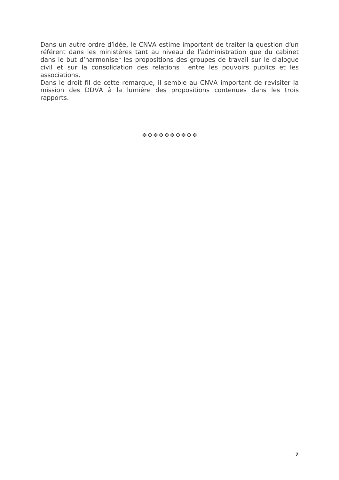Dans un autre ordre d'idée, le CNVA estime important de traiter la question d'un référent dans les ministères tant au niveau de l'administration que du cabinet dans le but d'harmoniser les propositions des groupes de travail sur le dialogue civil et sur la consolidation des relations entre les pouvoirs publics et les associations.

Dans le droit fil de cette remarque, il semble au CNVA important de revisiter la mission des DDVA à la lumière des propositions contenues dans les trois rapports.

\*\*\*\*\*\*\*\*\*\*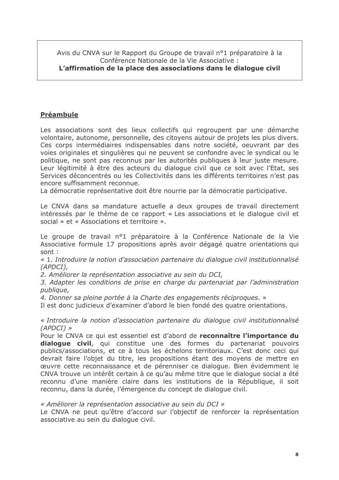Avis du CNVA sur le Rapport du Groupe de travail n°1 préparatoire à la Conférence Nationale de la Vie Associative :

# L'affirmation de la place des associations dans le dialogue civil

# **Préambule**

Les associations sont des lieux collectifs qui regroupent par une démarche volontaire, autonome, personnelle, des citoyens autour de projets les plus divers. Ces corps intermédiaires indispensables dans notre société, oeuvrant par des voies originales et singulières qui ne peuvent se confondre avec le syndical ou le politique, ne sont pas reconnus par les autorités publiques à leur juste mesure. Leur légitimité à être des acteurs du dialogue civil que ce soit avec l'Etat, ses Services déconcentrés ou les Collectivités dans les différents territoires n'est pas encore suffisamment reconnue.

La démocratie représentative doit être nourrie par la démocratie participative.

Le CNVA dans sa mandature actuelle a deux groupes de travail directement intéressés par le thème de ce rapport « Les associations et le dialogue civil et social » et « Associations et territoire ».

Le groupe de travail n°1 préparatoire à la Conférence Nationale de la Vie Associative formule 17 propositions après avoir dégagé quatre orientations qui sont :

« 1. Introduire la notion d'association partenaire du dialogue civil institutionnalisé  $(APDCI)$ .

2. Améliorer la représentation associative au sein du DCI,

3. Adapter les conditions de prise en charge du partenariat par l'administration publique,

4. Donner sa pleine portée à la Charte des engagements réciproques. »

Il est donc judicieux d'examiner d'abord le bien fondé des quatre orientations.

« Introduire la notion d'association partenaire du dialogue civil institutionnalisé  $(APDCI)$  »

Pour le CNVA ce qui est essentiel est d'abord de reconnaître l'importance du dialogue civil, qui constitue une des formes du partenariat pouvoirs publics/associations, et ce à tous les échelons territoriaux. C'est donc ceci qui devrait faire l'obiet du titre, les propositions étant des movens de mettre en œuvre cette reconnaissance et de pérenniser ce dialogue. Bien évidemment le CNVA trouve un intérêt certain à ce qu'au même titre que le dialogue social a été reconnu d'une manière claire dans les institutions de la République, il soit reconnu, dans la durée, l'émergence du concept de dialogue civil.

#### « Améliorer la représentation associative au sein du DCI »

Le CNVA ne peut qu'être d'accord sur l'objectif de renforcer la représentation associative au sein du dialogue civil.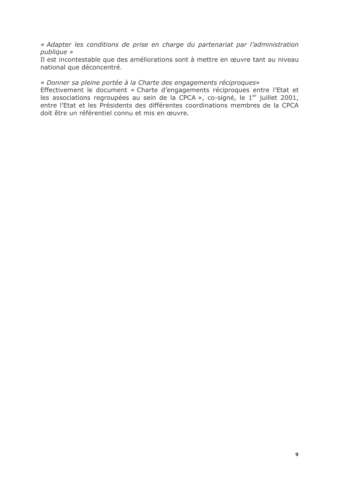« Adapter les conditions de prise en charge du partenariat par l'administration publique »

Il est incontestable que des améliorations sont à mettre en œuvre tant au niveau national que déconcentré.

#### « Donner sa pleine portée à la Charte des engagements réciproques»

Effectivement le document « Charte d'engagements réciproques entre l'Etat et les associations regroupées au sein de la CPCA », co-signé, le 1<sup>er</sup> juillet 2001, entre l'Etat et les Présidents des différentes coordinations membres de la CPCA doit être un référentiel connu et mis en œuvre.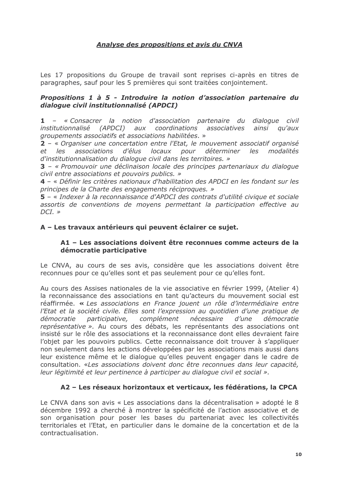# Analyse des propositions et avis du CNVA

Les 17 propositions du Groupe de travail sont reprises ci-après en titres de paragraphes, sauf pour les 5 premières qui sont traitées conjointement.

#### Propositions 1 à 5 - Introduire la notion d'association partenaire du dialoque civil institutionnalisé (APDCI)

1 - « Consacrer la notion d'association partenaire du dialogue civil institutionnalisé  $(APDCI)$ aux coordinations associatives ainsi au'aux aroupements associatifs et associations habilitées. »

2 - « Organiser une concertation entre l'Etat, le mouvement associatif organisé associations d'élus locaux pour déterminer les modalités  $et$ les d'institutionnalisation du dialogue civil dans les territoires. »

3 – « Promouvoir une déclinaison locale des principes partenariaux du dialogue civil entre associations et pouvoirs publics. »

4 – « Définir les critères nationaux d'habilitation des APDCI en les fondant sur les principes de la Charte des engagements réciproques. »

5 – « Indexer à la reconnaissance d'APDCI des contrats d'utilité civique et sociale assortis de conventions de moyens permettant la participation effective au  $DCI.$  »

# A - Les travaux antérieurs qui peuvent éclairer ce sujet.

#### A1 - Les associations doivent être reconnues comme acteurs de la démocratie participative

Le CNVA, au cours de ses avis, considère que les associations doivent être reconnues pour ce qu'elles sont et pas seulement pour ce qu'elles font.

Au cours des Assises nationales de la vie associative en février 1999, (Atelier 4) la reconnaissance des associations en tant qu'acteurs du mouvement social est réaffirmée, « Les associations en France jouent un rôle d'intermédiaire entre l'Etat et la société civile. Elles sont l'expression au quotidien d'une pratique de participative, complément nécessaire démocratie d'une démocratie représentative ». Au cours des débats, les représentants des associations ont insisté sur le rôle des associations et la reconnaissance dont elles devraient faire l'objet par les pouvoirs publics. Cette reconnaissance doit trouver à s'appliquer non seulement dans les actions développées par les associations mais aussi dans leur existence même et le dialogue qu'elles peuvent engager dans le cadre de consultation. «Les associations doivent donc être reconnues dans leur capacité, leur légitimité et leur pertinence à participer au dialogue civil et social ».

# A2 - Les réseaux horizontaux et verticaux, les fédérations, la CPCA

Le CNVA dans son avis « Les associations dans la décentralisation » adopté le 8 décembre 1992 a cherché à montrer la spécificité de l'action associative et de son organisation pour poser les bases du partenariat avec les collectivités territoriales et l'Etat, en particulier dans le domaine de la concertation et de la contractualisation.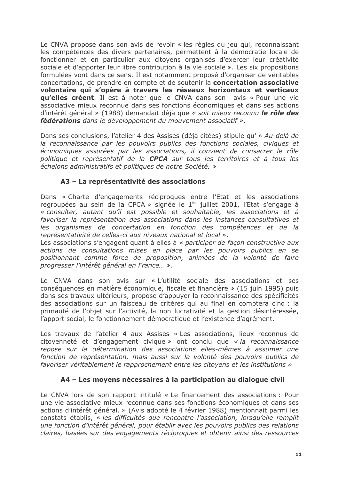Le CNVA propose dans son avis de revoir « les règles du jeu qui, reconnaissant les compétences des divers partenaires, permettent à la démocratie locale de fonctionner et en particulier aux citoyens organisés d'exercer leur créativité sociale et d'apporter leur libre contribution à la vie sociale ». Les six propositions formulées vont dans ce sens. Il est notamment proposé d'organiser de véritables concertations, de prendre en compte et de soutenir la concertation associative volontaire qui s'opère à travers les réseaux horizontaux et verticaux **qu'elles créent**. Il est à noter que le CNVA dans son avis « Pour une vie associative mieux reconnue dans ses fonctions économiques et dans ses actions d'intérêt général » (1988) demandait déjà que « soit mieux reconnu le rôle des fédérations dans le développement du mouvement associatif ».

Dans ses conclusions, l'atelier 4 des Assises (déjà citées) stipule qu' « Au-delà de la reconnaissance par les pouvoirs publics des fonctions sociales, civiques et économiques assurées par les associations, il convient de consacrer le rôle politique et représentatif de la CPCA sur tous les territoires et à tous les échelons administratifs et politiques de notre Société, »

# A3 - La représentativité des associations

Dans « Charte d'engagements réciproques entre l'Etat et les associations regroupées au sein de la CPCA » signée le 1<sup>er</sup> juillet 2001, l'Etat s'engage à « consulter, autant qu'il est possible et souhaitable, les associations et à favoriser la représentation des associations dans les instances consultatives et les organismes de concertation en fonction des compétences et de la représentativité de celles-ci aux niveaux national et local ».

Les associations s'engagent quant à elles à « participer de façon constructive aux actions de consultations mises en place par les pouvoirs publics en se positionnant comme force de proposition, animées de la volonté de faire progresser l'intérêt général en France... ».

Le CNVA dans son avis sur « L'utilité sociale des associations et ses conséquences en matière économique, fiscale et financière » (15 juin 1995) puis dans ses travaux ultérieurs, propose d'appuyer la reconnaissance des spécificités des associations sur un faisceau de critères qui au final en comptera cinq : la primauté de l'objet sur l'activité, la non lucrativité et la gestion désintéressée, l'apport social, le fonctionnement démocratique et l'existence d'agrément.

Les travaux de l'atelier 4 aux Assises « Les associations, lieux reconnus de citoyenneté et d'engagement civique » ont conclu que « la reconnaissance repose sur la détermination des associations elles-mêmes à assumer une fonction de représentation, mais aussi sur la volonté des pouvoirs publics de favoriser véritablement le rapprochement entre les citoyens et les institutions »

#### A4 - Les moyens nécessaires à la participation au dialogue civil

Le CNVA lors de son rapport intitulé « Le financement des associations : Pour une vie associative mieux reconnue dans ses fonctions économiques et dans ses actions d'intérêt général. » (Avis adopté le 4 février 1988) mentionnait parmi les constats établis, « les difficultés que rencontre l'association, lorsqu'elle remplit une fonction d'intérêt général, pour établir avec les pouvoirs publics des relations claires, basées sur des engagements réciproques et obtenir ainsi des ressources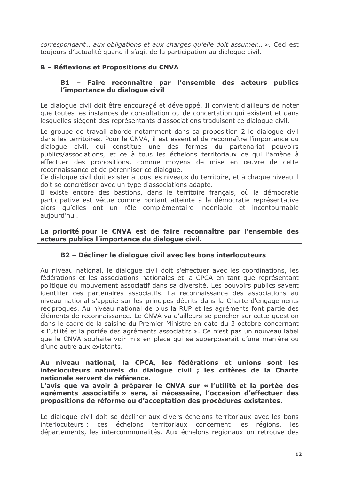correspondant... aux obligations et aux charges qu'elle doit assumer... ». Ceci est toujours d'actualité quand il s'agit de la participation au dialogue civil.

# B - Réflexions et Propositions du CNVA

## B1 - Faire reconnaître par l'ensemble des acteurs publics l'importance du dialogue civil

Le dialogue civil doit être encouragé et développé. Il convient d'ailleurs de noter que toutes les instances de consultation ou de concertation qui existent et dans lesquelles siègent des représentants d'associations traduisent ce dialogue civil.

Le groupe de travail aborde notamment dans sa proposition 2 le dialogue civil dans les territoires. Pour le CNVA, il est essentiel de reconnaître l'importance du dialogue civil, qui constitue une des formes du partenariat pouvoirs publics/associations, et ce à tous les échelons territoriaux ce qui l'amène à effectuer des propositions, comme moyens de mise en œuvre de cette reconnaissance et de pérenniser ce dialogue.

Ce dialoque civil doit exister à tous les niveaux du territoire, et à chaque niveau il doit se concrétiser avec un type d'associations adapté.

Il existe encore des bastions, dans le territoire français, où la démocratie participative est vécue comme portant atteinte à la démocratie représentative alors qu'elles ont un rôle complémentaire indéniable et incontournable aujourd'hui.

La priorité pour le CNVA est de faire reconnaître par l'ensemble des acteurs publics l'importance du dialogue civil.

# B2 - Décliner le dialogue civil avec les bons interlocuteurs

Au niveau national, le dialogue civil doit s'effectuer avec les coordinations, les fédérations et les associations nationales et la CPCA en tant que représentant politique du mouvement associatif dans sa diversité. Les pouvoirs publics savent identifier ces partenaires associatifs. La reconnaissance des associations au niveau national s'appuie sur les principes décrits dans la Charte d'engagements réciproques. Au niveau national de plus la RUP et les agréments font partie des éléments de reconnaissance. Le CNVA va d'ailleurs se pencher sur cette question dans le cadre de la saisine du Premier Ministre en date du 3 octobre concernant « l'utilité et la portée des agréments associatifs ». Ce n'est pas un nouveau label que le CNVA souhaite voir mis en place qui se superposerait d'une manière ou d'une autre aux existants.

Au niveau national, la CPCA, les fédérations et unions sont les interlocuteurs naturels du dialogue civil; les critères de la Charte nationale servent de référence.

L'avis que va avoir à préparer le CNVA sur « l'utilité et la portée des agréments associatifs » sera, si nécessaire, l'occasion d'effectuer des propositions de réforme ou d'acceptation des procédures existantes.

Le dialoque civil doit se décliner aux divers échelons territoriaux avec les bons interlocuteurs ; ces échelons territoriaux concernent les régions, les départements, les intercommunalités. Aux échelons régionaux on retrouve des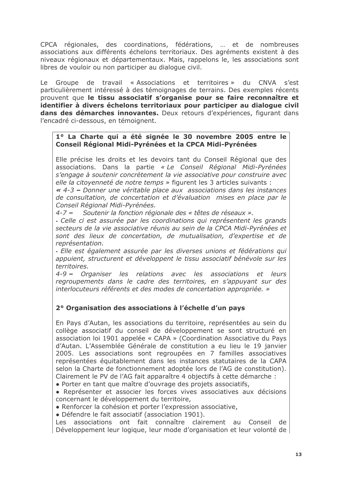CPCA régionales, des coordinations, fédérations, ... et de nombreuses associations aux différents échelons territoriaux. Des agréments existent à des niveaux régionaux et départementaux. Mais, rappelons le, les associations sont libres de vouloir ou non participer au dialoque civil.

Le Groupe de travail « Associations et territoires » du CNVA s'est particulièrement intéressé à des témoignages de terrains. Des exemples récents prouvent que le tissu associatif s'organise pour se faire reconnaître et identifier à divers échelons territoriaux pour participer au dialogue civil dans des démarches innovantes. Deux retours d'expériences, figurant dans l'encadré ci-dessous, en témoignent.

#### 1° La Charte qui a été signée le 30 novembre 2005 entre le Conseil Régional Midi-Pyrénées et la CPCA Midi-Pyrénées

Elle précise les droits et les devoirs tant du Conseil Régional que des associations. Dans la partie « Le Conseil Régional Midi-Pyrénées s'engage à soutenir concrètement la vie associative pour construire avec elle la citoyenneté de notre temps » figurent les 3 articles suivants :

« 4-3 – Donner une véritable place aux associations dans les instances de consultation, de concertation et d'évaluation mises en place par le Conseil Régional Midi-Pyrénées.

4-7 – Soutenir la fonction régionale des « têtes de réseaux ».

- Celle ci est assurée par les coordinations qui représentent les grands secteurs de la vie associative réunis au sein de la CPCA Midi-Pyrénées et sont des lieux de concertation, de mutualisation, d'expertise et de représentation.

- Elle est également assurée par les diverses unions et fédérations qui appuient, structurent et développent le tissu associatif bénévole sur les territoires.

4-9 - Organiser les relations avec les associations et leurs regroupements dans le cadre des territoires, en s'appuyant sur des interlocuteurs référents et des modes de concertation appropriée. »

# 2º Organisation des associations à l'échelle d'un pays

En Pays d'Autan, les associations du territoire, représentées au sein du collège associatif du conseil de développement se sont structuré en association loi 1901 appelée « CAPA » (Coordination Associative du Pays d'Autan. L'Assemblée Générale de constitution a eu lieu le 19 janvier 2005. Les associations sont regroupées en 7 familles associatives représentées équitablement dans les instances statutaires de la CAPA selon la Charte de fonctionnement adoptée lors de l'AG de constitution). Clairement le PV de l'AG fait apparaître 4 objectifs à cette démarche :

· Porter en tant que maître d'ouvrage des projets associatifs,

• Représenter et associer les forces vives associatives aux décisions concernant le développement du territoire.

• Renforcer la cohésion et porter l'expression associative,

· Défendre le fait associatif (association 1901).

Les associations ont fait connaître clairement au Conseil de Développement leur logique, leur mode d'organisation et leur volonté de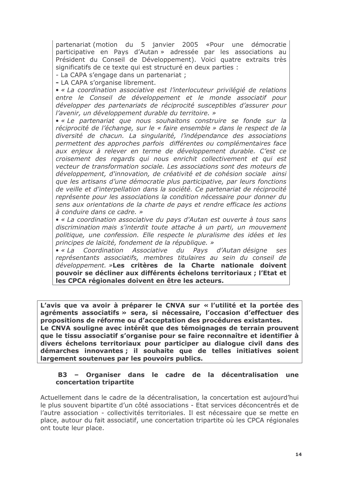partenariat (motion du 5 janvier 2005 «Pour une démocratie participative en Pays d'Autan » adressée par les associations au Président du Conseil de Développement). Voici quatre extraits très significatifs de ce texte qui est structuré en deux parties :

- La CAPA s'engage dans un partenariat :

- LA CAPA s'organise librement.

• « La coordination associative est l'interlocuteur privilégié de relations entre le Conseil de développement et le monde associatif pour développer des partenariats de réciprocité susceptibles d'assurer pour l'avenir, un développement durable du territoire. »

• « Le partenariat que nous souhaitons construire se fonde sur la réciprocité de l'échange, sur le « faire ensemble » dans le respect de la diversité de chacun. La singularité, l'indépendance des associations permettent des approches parfois différentes ou complémentaires face aux enjeux à relever en terme de développement durable. C'est ce croisement des regards qui nous enrichit collectivement et qui est vecteur de transformation sociale. Les associations sont des moteurs de développement, d'innovation, de créativité et de cohésion sociale ainsi que les artisans d'une démocratie plus participative, par leurs fonctions de veille et d'interpellation dans la société. Ce partenariat de réciprocité représente pour les associations la condition nécessaire pour donner du sens aux orientations de la charte de pays et rendre efficace les actions à conduire dans ce cadre. »

• « La coordination associative du pays d'Autan est ouverte à tous sans discrimination mais s'interdit toute attache à un parti, un mouvement politique, une confession. Elle respecte le pluralisme des idées et les principes de laïcité, fondement de la république. »

 $\bullet \ll La$ Coordination Associative du Pays d'Autan désigne ses représentants associatifs, membres titulaires au sein du conseil de développement. »Les critères de la Charte nationale doivent pouvoir se décliner aux différents échelons territoriaux ; l'Etat et les CPCA régionales doivent en être les acteurs.

L'avis que va avoir à préparer le CNVA sur « l'utilité et la portée des agréments associatifs » sera, si nécessaire, l'occasion d'effectuer des propositions de réforme ou d'acceptation des procédures existantes. Le CNVA souligne avec intérêt que des témoignages de terrain prouvent

que le tissu associatif s'organise pour se faire reconnaître et identifier à divers échelons territoriaux pour participer au dialogue civil dans des démarches innovantes; il souhaite que de telles initiatives soient largement soutenues par les pouvoirs publics.

#### Organiser dans le cadre de la décentralisation une  $B3$ concertation tripartite

Actuellement dans le cadre de la décentralisation, la concertation est aujourd'hui le plus souvent bipartite d'un côté associations - Etat services déconcentrés et de l'autre association - collectivités territoriales. Il est nécessaire que se mette en place, autour du fait associatif, une concertation tripartite où les CPCA régionales ont toute leur place.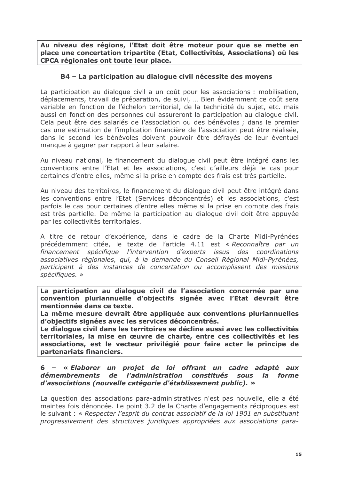Au niveau des régions, l'Etat doit être moteur pour que se mette en place une concertation tripartite (Etat, Collectivités, Associations) où les CPCA régionales ont toute leur place.

# B4 – La participation au dialogue civil nécessite des moyens

La participation au dialogue civil a un coût pour les associations : mobilisation, déplacements, travail de préparation, de suivi, ... Bien évidemment ce coût sera variable en fonction de l'échelon territorial, de la technicité du sujet, etc. mais aussi en fonction des personnes qui assureront la participation au dialogue civil. Cela peut être des salariés de l'association ou des bénévoles ; dans le premier cas une estimation de l'implication financière de l'association peut être réalisée, dans le second les bénévoles doivent pouvoir être défrayés de leur éventuel manque à gagner par rapport à leur salaire.

Au niveau national, le financement du dialoque civil peut être intégré dans les conventions entre l'Etat et les associations, c'est d'ailleurs déjà le cas pour certaines d'entre elles, même si la prise en compte des frais est très partielle.

Au niveau des territoires, le financement du dialogue civil peut être intégré dans les conventions entre l'Etat (Services déconcentrés) et les associations, c'est parfois le cas pour certaines d'entre elles même si la prise en compte des frais est très partielle. De même la participation au dialogue civil doit être appuyée par les collectivités territoriales.

A titre de retour d'expérience, dans le cadre de la Charte Midi-Pyrénées précédemment citée, le texte de l'article 4.11 est « Reconnaître par un financement spécifique l'intervention d'experts issus des coordinations associatives régionales, qui, à la demande du Conseil Régional Midi-Pyrénées, participent à des instances de concertation ou accomplissent des missions spécifiques. »

La participation au dialoque civil de l'association concernée par une convention pluriannuelle d'objectifs signée avec l'Etat devrait être mentionnée dans ce texte.

La même mesure devrait être appliquée aux conventions pluriannuelles d'objectifs signées avec les services déconcentrés.

Le dialogue civil dans les territoires se décline aussi avec les collectivités territoriales, la mise en œuvre de charte, entre ces collectivités et les associations, est le vecteur privilégié pour faire acter le principe de partenariats financiers.

#### 6 - « Elaborer un projet de loi offrant un cadre adapté aux l'administration constitués *démembrements* de **SOUS** la forme d'associations (nouvelle catégorie d'établissement public). »

La question des associations para-administratives n'est pas nouvelle, elle a été maintes fois dénoncée. Le point 3.2 de la Charte d'engagements réciproques est le suivant : « Respecter l'esprit du contrat associatif de la loi 1901 en substituant progressivement des structures juridiques appropriées aux associations para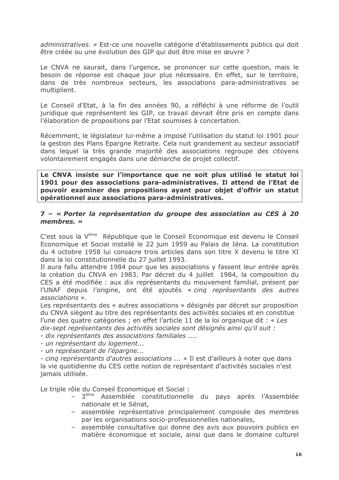administratives. » Est-ce une nouvelle catégorie d'établissements publics qui doit être créée ou une évolution des GIP qui doit être mise en œuvre ?

Le CNVA ne saurait, dans l'urgence, se prononcer sur cette question, mais le besoin de réponse est chaque jour plus nécessaire. En effet, sur le territoire, dans de très nombreux secteurs, les associations para-administratives se multiplient.

Le Conseil d'Etat, à la fin des années 90, a réfléchi à une réforme de l'outil juridique que représentent les GIP, ce travail devrait être pris en compte dans l'élaboration de propositions par l'Etat soumises à concertation.

Récemment, le législateur lui-même a imposé l'utilisation du statut loi 1901 pour la gestion des Plans Epargne Retraite. Cela nuit grandement au secteur associatif dans lequel la très grande majorité des associations regroupe des citoyens volontairement engagés dans une démarche de projet collectif.

Le CNVA insiste sur l'importance que ne soit plus utilisé le statut loi 1901 pour des associations para-administratives. Il attend de l'Etat de pouvoir examiner des propositions ayant pour objet d'offrir un statut opérationnel aux associations para-administratives.

#### 7 - « Porter la représentation du groupe des association au CES à 20 membres.  $\gg$

C'est sous la V<sup>ème</sup> République que le Conseil Economique est devenu le Conseil Economique et Social installé le 22 juin 1959 au Palais de Iéna. La constitution du 4 octobre 1958 lui consacre trois articles dans son titre X devenu le titre XI dans la loi constitutionnelle du 27 juillet 1993.

Il aura fallu attendre 1984 pour que les associations y fassent leur entrée après la création du CNVA en 1983. Par décret du 4 juillet 1984, la composition du CES a été modifiée : aux dix représentants du mouvement familial, présent par l'UNAF depuis l'origine, ont été ajoutés « cing représentants des autres associations ».

Les représentants des « autres associations » désignés par décret sur proposition du CNVA siègent au titre des représentants des activités sociales et en constitue l'une des quatre catégories ; en effet l'article 11 de la loi organique dit : « Les dix-sept représentants des activités sociales sont désignés ainsi qu'il suit :

- dix représentants des associations familiales ....

- un représentant du logement...
- un représentant de l'épargne...

- cinq représentants d'autres associations ... » Il est d'ailleurs à noter que dans la vie quotidienne du CES cette notion de représentant d'activités sociales n'est jamais utilisée.

Le triple rôle du Conseil Economique et Social :

- 3<sup>ème</sup> Assemblée constitutionnelle du pays après l'Assemblée nationale et le Sénat.
- assemblée représentative principalement composée des membres par les organisations socio-professionnelles nationales,
- assemblée consultative qui donne des avis aux pouvoirs publics en matière économique et sociale, ainsi que dans le domaine culturel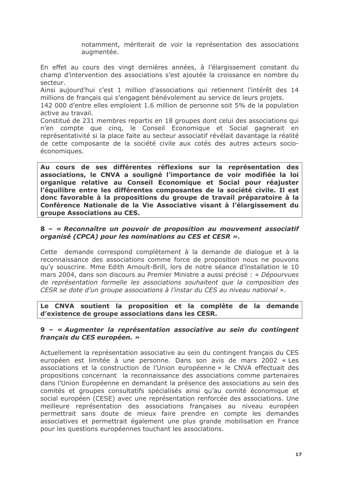notamment, mériterait de voir la représentation des associations augmentée.

En effet au cours des vingt dernières années, à l'élargissement constant du champ d'intervention des associations s'est ajoutée la croissance en nombre du secteur.

Ainsi aujourd'hui c'est 1 million d'associations qui retiennent l'intérêt des 14 millions de français qui s'engagent bénévolement au service de leurs projets.

142 000 d'entre elles emploient 1.6 million de personne soit 5% de la population active au travail.

Constitué de 231 membres repartis en 18 groupes dont celui des associations qui n'en compte que cinq, le Conseil Economique et Social gagnerait en représentativité si la place faite au secteur associatif révélait davantage la réalité de cette composante de la société civile aux cotés des autres acteurs socioéconomiques.

Au cours de ses différentes réflexions sur la représentation des associations, le CNVA a souligné l'importance de voir modifiée la loi organique relative au Conseil Economique et Social pour réajuster l'équilibre entre les différentes composantes de la société civile. Il est donc favorable à la propositions du groupe de travail préparatoire à la Conférence Nationale de la Vie Associative visant à l'élargissement du groupe Associations au CES.

#### 8 - « Reconnaître un pouvoir de proposition au mouvement associatif organisé (CPCA) pour les nominations au CES et CESR ».

Cette demande correspond complètement à la demande de dialogue et à la reconnaissance des associations comme force de proposition nous ne pouvons gu'y souscrire. Mme Edith Arnoult-Brill, lors de notre séance d'installation le 10 mars 2004, dans son discours au Premier Ministre a aussi précisé : « Dépourvues de représentation formelle les associations souhaitent que la composition des CESR se dote d'un groupe associations à l'instar du CES au niveau national ».

Le CNVA soutient la proposition et la complète de la demande d'existence de groupe associations dans les CESR.

#### 9 - « Augmenter la représentation associative au sein du contingent français du CES européen. »

Actuellement la représentation associative au sein du contingent francais du CES européen est limitée à une personne. Dans son avis de mars 2002 « Les associations et la construction de l'Union européenne » le CNVA effectuait des propositions concernant la reconnaissance des associations comme partenaires dans l'Union Européenne en demandant la présence des associations au sein des comités et groupes consultatifs spécialisés ainsi qu'au comité économique et social européen (CESE) avec une représentation renforcée des associations. Une meilleure représentation des associations françaises au niveau européen permettrait sans doute de mieux faire prendre en compte les demandes associatives et permettrait également une plus grande mobilisation en France pour les questions européennes touchant les associations.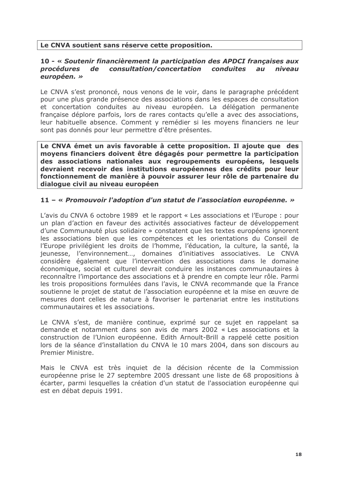### Le CNVA soutient sans réserve cette proposition.

#### 10 - « Soutenir financièrement la participation des APDCI françaises aux consultation/concertation conduites procédures de  $au$ niveau européen. »

Le CNVA s'est prononcé, nous venons de le voir, dans le paragraphe précédent pour une plus grande présence des associations dans les espaces de consultation et concertation conduites au niveau européen. La délégation permanente française déplore parfois, lors de rares contacts qu'elle a avec des associations, leur habituelle absence. Comment y remédier si les movens financiers ne leur sont pas donnés pour leur permettre d'être présentes.

Le CNVA émet un avis favorable à cette proposition. Il ajoute que des moyens financiers doivent être dégagés pour permettre la participation des associations nationales aux regroupements européens, lesquels devraient recevoir des institutions européennes des crédits pour leur fonctionnement de manière à pouvoir assurer leur rôle de partenaire du dialogue civil au niveau européen

#### 11 – « Promouvoir l'adoption d'un statut de l'association européenne. »

L'avis du CNVA 6 octobre 1989 et le rapport « Les associations et l'Europe : pour un plan d'action en faveur des activités associatives facteur de développement d'une Communauté plus solidaire » constatent que les textes européens ignorent les associations bien que les compétences et les orientations du Conseil de l'Europe privilégient les droits de l'homme, l'éducation, la culture, la santé, la jeunesse, l'environnement..., domaines d'initiatives associatives. Le CNVA considère également que l'intervention des associations dans le domaine économique, social et culturel devrait conduire les instances communautaires à reconnaître l'importance des associations et à prendre en compte leur rôle. Parmi les trois propositions formulées dans l'avis, le CNVA recommande que la France soutienne le projet de statut de l'association européenne et la mise en œuvre de mesures dont celles de nature à favoriser le partenariat entre les institutions communautaires et les associations.

Le CNVA s'est, de manière continue, exprimé sur ce sujet en rappelant sa demande et notamment dans son avis de mars 2002 « Les associations et la construction de l'Union européenne. Edith Arnoult-Brill a rappelé cette position lors de la séance d'installation du CNVA le 10 mars 2004, dans son discours au Premier Ministre.

Mais le CNVA est très inquiet de la décision récente de la Commission européenne prise le 27 septembre 2005 dressant une liste de 68 propositions à écarter, parmi lesquelles la création d'un statut de l'association européenne qui est en débat depuis 1991.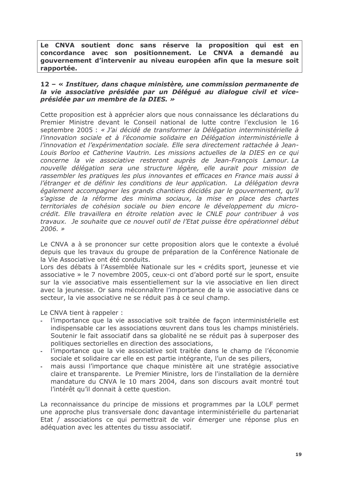Le CNVA soutient donc sans réserve la proposition qui est en concordance avec son positionnement. Le CNVA a demandé au gouvernement d'intervenir au niveau européen afin que la mesure soit rapportée.

#### 12 - « Instituer, dans chaque ministère, une commission permanente de la vie associative présidée par un Déléqué au dialoque civil et viceprésidée par un membre de la DIES. »

Cette proposition est à apprécier alors que nous connaissance les déclarations du Premier Ministre devant le Conseil national de lutte contre l'exclusion le 16 septembre 2005 : « J'ai décidé de transformer la Délégation interministérielle à l'innovation sociale et à l'économie solidaire en Délégation interministérielle à l'innovation et l'expérimentation sociale. Elle sera directement rattachée à Jean-Louis Borloo et Catherine Vautrin. Les missions actuelles de la DIES en ce qui concerne la vie associative resteront auprès de Jean-François Lamour. La nouvelle délégation sera une structure légère, elle aurait pour mission de rassembler les pratiques les plus innovantes et efficaces en France mais aussi à l'étranger et de définir les conditions de leur application. La délégation devra également accompagner les grands chantiers décidés par le gouvernement, qu'il s'agisse de la réforme des minima sociaux, la mise en place des chartes territoriales de cohésion sociale ou bien encore le développement du microcrédit. Elle travaillera en étroite relation avec le CNLE pour contribuer à vos travaux. Je souhaite que ce nouvel outil de l'Etat puisse être opérationnel début  $2006.$  »

Le CNVA a à se prononcer sur cette proposition alors que le contexte a évolué depuis que les travaux du groupe de préparation de la Conférence Nationale de la Vie Associative ont été conduits.

Lors des débats à l'Assemblée Nationale sur les « crédits sport, jeunesse et vie associative » le 7 novembre 2005, ceux-ci ont d'abord porté sur le sport, ensuite sur la vie associative mais essentiellement sur la vie associative en lien direct avec la jeunesse. Or sans méconnaître l'importance de la vie associative dans ce secteur, la vie associative ne se réduit pas à ce seul champ.

Le CNVA tient à rappeler :

- l'importance que la vie associative soit traitée de façon interministérielle est indispensable car les associations œuvrent dans tous les champs ministériels. Soutenir le fait associatif dans sa globalité ne se réduit pas à superposer des politiques sectorielles en direction des associations,
- l'importance que la vie associative soit traitée dans le champ de l'économie sociale et solidaire car elle en est partie intégrante. l'un de ses piliers.
- mais aussi l'importance que chaque ministère ait une stratégie associative claire et transparente. Le Premier Ministre, lors de l'installation de la dernière mandature du CNVA le 10 mars 2004, dans son discours avait montré tout l'intérêt qu'il donnait à cette question.

La reconnaissance du principe de missions et programmes par la LOLF permet une approche plus transversale donc davantage interministérielle du partenariat Etat / associations ce qui permettrait de voir émerger une réponse plus en adéquation avec les attentes du tissu associatif.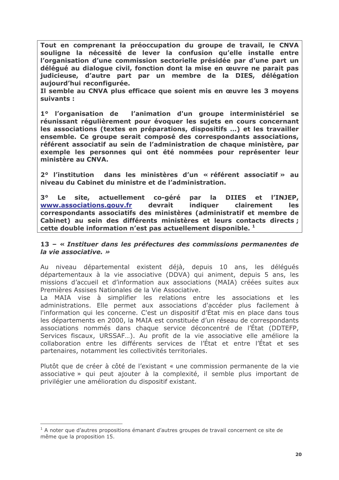Tout en comprenant la préoccupation du groupe de travail, le CNVA souligne la nécessité de lever la confusion qu'elle installe entre l'organisation d'une commission sectorielle présidée par d'une part un déléqué au dialogue civil, fonction dont la mise en œuvre ne parait pas judicieuse, d'autre part par un membre de la DIES, délégation aujourd'hui reconfigurée.

Il semble au CNVA plus efficace que soient mis en œuvre les 3 movens suivants :

1º l'organisation de l'animation d'un groupe interministériel se réunissant régulièrement pour évoquer les sujets en cours concernant les associations (textes en préparations, dispositifs ...) et les travailler ensemble. Ce groupe serait composé des correspondants associations, référent associatif au sein de l'administration de chaque ministère, par exemple les personnes qui ont été nommées pour représenter leur ministère au CNVA.

2º l'institution dans les ministères d'un « référent associatif » au niveau du Cabinet du ministre et de l'administration.

 $30$ site, actuellement co-géré **DIIES Le** par la l'INJEP. **et** www.associations.gouv.fr devrait indiquer clairement **les** correspondants associatifs des ministères (administratif et membre de Cabinet) au sein des différents ministères et leurs contacts directs ; cette double information n'est pas actuellement disponible.<sup>1</sup>

#### 13 - « Instituer dans les préfectures des commissions permanentes de la vie associative. »

Au niveau départemental existent déjà, depuis 10 ans, les délégués départementaux à la vie associative (DDVA) qui animent, depuis 5 ans, les missions d'accueil et d'information aux associations (MAIA) créées suites aux Premières Assises Nationales de la Vie Associative.

La MAIA vise à simplifier les relations entre les associations et les administrations. Elle permet aux associations d'accéder plus facilement à l'information qui les concerne. C'est un dispositif d'État mis en place dans tous les départements en 2000, la MAIA est constituée d'un réseau de correspondants associations nommés dans chaque service déconcentré de l'État (DDTEFP, Services fiscaux, URSSAF...). Au profit de la vie associative elle améliore la collaboration entre les différents services de l'État et entre l'État et ses partenaires, notamment les collectivités territoriales.

Plutôt que de créer à côté de l'existant « une commission permanente de la vie associative » qui peut ajouter à la complexité, il semble plus important de privilégier une amélioration du dispositif existant.

 $1$  A noter que d'autres propositions émanant d'autres groupes de travail concernent ce site de même que la proposition 15.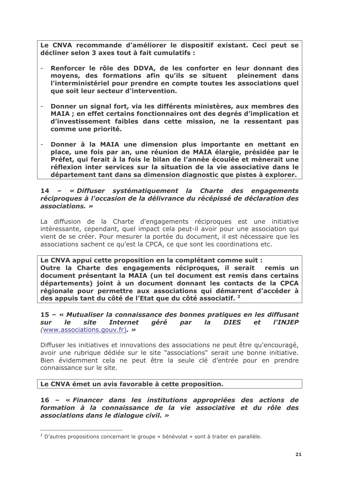Le CNVA recommande d'améliorer le dispositif existant. Ceci peut se décliner selon 3 axes tout à fait cumulatifs :

- Renforcer le rôle des DDVA, de les conforter en leur donnant des  $\mathcal{L}$ moyens, des formations afin qu'ils se situent pleinement dans l'interministériel pour prendre en compte toutes les associations quel que soit leur secteur d'intervention.
- Donner un signal fort, via les différents ministères, aux membres des MAIA ; en effet certains fonctionnaires ont des degrés d'implication et d'investissement faibles dans cette mission, ne la ressentant pas comme une priorité.
- Donner à la MAIA une dimension plus importante en mettant en place, une fois par an, une réunion de MAIA élargie, présidée par le Préfet, qui ferait à la fois le bilan de l'année écoulée et mènerait une réflexion inter services sur la situation de la vie associative dans le département tant dans sa dimension diagnostic que pistes à explorer.

#### 14 - « Diffuser systématiquement la Charte des engagements réciproques à l'occasion de la délivrance du récépissé de déclaration des associations. »

La diffusion de la Charte d'engagements réciproques est une initiative intéressante, cependant, quel impact cela peut-il avoir pour une association qui vient de se créer. Pour mesurer la portée du document, il est nécessaire que les associations sachent ce qu'est la CPCA, ce que sont les coordinations etc.

Le CNVA appui cette proposition en la complétant comme suit : Outre la Charte des engagements réciproques, il serait remis un document présentant la MAIA (un tel document est remis dans certains départements) joint à un document donnant les contacts de la CPCA régionale pour permettre aux associations qui démarrent d'accéder à des appuis tant du côté de l'Etat que du côté associatif.<sup>2</sup>

15 - « Mutualiser la connaissance des bonnes pratiques en les diffusant **SUr**  $Ie$ site **Internet** géré par  $I_{\mathbf{a}}$ **DIES**  $et$ *I'INJEP* (www.associations.gouv.fr). >>

Diffuser les initiatives et innovations des associations ne peut être qu'encouragé, avoir une rubrique dédiée sur le site "associations" serait une bonne initiative. Bien évidemment cela ne peut être la seule clé d'entrée pour en prendre connaissance sur le site.

#### Le CNVA émet un avis favorable à cette proposition.

16 - « Financer dans les institutions appropriées des actions de formation à la connaissance de la vie associative et du rôle des associations dans le dialogue civil. »

<sup>&</sup>lt;sup>2</sup> D'autres propositions concernant le groupe « bénévolat » sont à traiter en parallèle.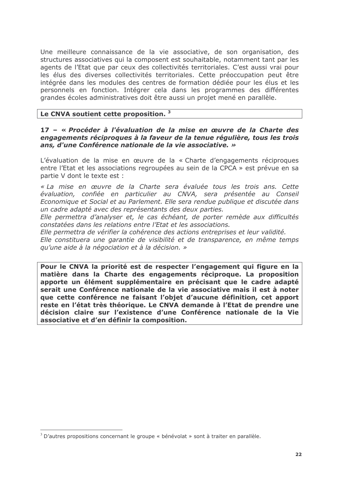Une meilleure connaissance de la vie associative, de son organisation, des structures associatives qui la composent est souhaitable, notamment tant par les agents de l'Etat que par ceux des collectivités territoriales. C'est aussi vrai pour les élus des diverses collectivités territoriales. Cette préoccupation peut être intégrée dans les modules des centres de formation dédiée pour les élus et les personnels en fonction. Intégrer cela dans les programmes des différentes grandes écoles administratives doit être aussi un projet mené en parallèle.

# Le CNVA soutient cette proposition. 3

17 - « Procéder à l'évaluation de la mise en œuvre de la Charte des engagements réciproques à la faveur de la tenue régulière, tous les trois ans, d'une Conférence nationale de la vie associative. »

L'évaluation de la mise en œuvre de la « Charte d'engagements réciproques entre l'Etat et les associations regroupées au sein de la CPCA » est prévue en sa partie V dont le texte est :

« La mise en œuvre de la Charte sera évaluée tous les trois ans. Cette évaluation, confiée en particulier au CNVA, sera présentée au Conseil Economique et Social et au Parlement. Elle sera rendue publique et discutée dans un cadre adapté avec des représentants des deux parties.

Elle permettra d'analyser et, le cas échéant, de porter remède aux difficultés constatées dans les relations entre l'Etat et les associations.

Elle permettra de vérifier la cohérence des actions entreprises et leur validité.

Elle constituera une garantie de visibilité et de transparence, en même temps au'une aide à la négociation et à la décision, »

Pour le CNVA la priorité est de respecter l'engagement qui figure en la matière dans la Charte des engagements réciproque. La proposition apporte un élément supplémentaire en précisant que le cadre adapté serait une Conférence nationale de la vie associative mais il est à noter que cette conférence ne faisant l'obiet d'aucune définition, cet apport reste en l'état très théorique. Le CNVA demande à l'Etat de prendre une décision claire sur l'existence d'une Conférence nationale de la Vie associative et d'en définir la composition.

 $3$  D'autres propositions concernant le groupe « bénévolat » sont à traiter en parallèle.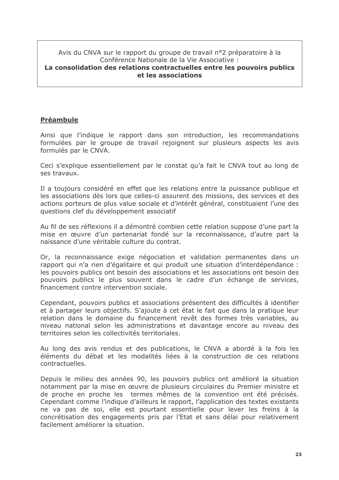Avis du CNVA sur le rapport du groupe de travail n°2 préparatoire à la Conférence Nationale de la Vie Associative :

#### La consolidation des relations contractuelles entre les pouvoirs publics et les associations

# **Préambule**

Ainsi que l'indique le rapport dans son introduction, les recommandations formulées par le groupe de travail rejoignent sur plusieurs aspects les avis formulés par le CNVA.

Ceci s'explique essentiellement par le constat qu'a fait le CNVA tout au long de ses travaux.

Il a toujours considéré en effet que les relations entre la puissance publique et les associations dès lors que celles-ci assurent des missions, des services et des actions porteurs de plus value sociale et d'intérêt général, constituaient l'une des questions clef du développement associatif

Au fil de ses réflexions il a démontré combien cette relation suppose d'une part la mise en œuvre d'un partenariat fondé sur la reconnaissance, d'autre part la naissance d'une véritable culture du contrat.

Or, la reconnaissance exige négociation et validation permanentes dans un rapport qui n'a rien d'égalitaire et qui produit une situation d'interdépendance : les pouvoirs publics ont besoin des associations et les associations ont besoin des pouvoirs publics le plus souvent dans le cadre d'un échange de services, financement contre intervention sociale.

Cependant, pouvoirs publics et associations présentent des difficultés à identifier et à partager leurs objectifs. S'ajoute à cet état le fait que dans la pratique leur relation dans le domaine du financement revêt des formes très variables, au niveau national selon les administrations et davantage encore au niveau des territoires selon les collectivités territoriales.

Au long des avis rendus et des publications, le CNVA a abordé à la fois les éléments du débat et les modalités liées à la construction de ces relations contractuelles.

Depuis le milieu des années 90, les pouvoirs publics ont amélioré la situation notamment par la mise en œuvre de plusieurs circulaires du Premier ministre et de proche en proche les termes mêmes de la convention ont été précisés. Cependant comme l'indique d'ailleurs le rapport, l'application des textes existants ne va pas de soi, elle est pourtant essentielle pour lever les freins à la concrétisation des engagements pris par l'Etat et sans délai pour relativement facilement améliorer la situation.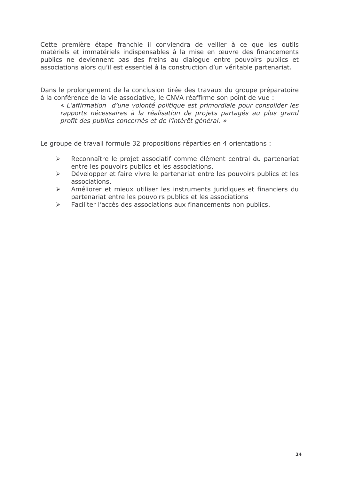Cette première étape franchie il conviendra de veiller à ce que les outils matériels et immatériels indispensables à la mise en œuvre des financements publics ne deviennent pas des freins au dialogue entre pouvoirs publics et associations alors qu'il est essentiel à la construction d'un véritable partenariat.

Dans le prolongement de la conclusion tirée des travaux du groupe préparatoire à la conférence de la vie associative, le CNVA réaffirme son point de vue :

« L'affirmation d'une volonté politique est primordiale pour consolider les rapports nécessaires à la réalisation de projets partagés au plus grand profit des publics concernés et de l'intérêt général. »

Le groupe de travail formule 32 propositions réparties en 4 orientations :

- Reconnaître le projet associatif comme élément central du partenariat  $\blacktriangleright$ entre les pouvoirs publics et les associations,
- Développer et faire vivre le partenariat entre les pouvoirs publics et les  $\blacktriangleright$ associations,
- Améliorer et mieux utiliser les instruments juridiques et financiers du  $\blacktriangleright$ partenariat entre les pouvoirs publics et les associations
- Faciliter l'accès des associations aux financements non publics.  $\blacktriangleright$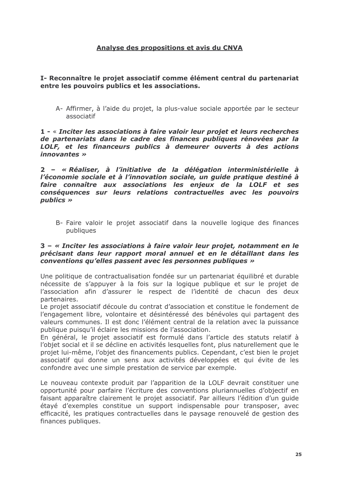# Analyse des propositions et avis du CNVA

#### I- Reconnaître le projet associatif comme élément central du partenariat entre les pouvoirs publics et les associations.

A- Affirmer, à l'aide du projet, la plus-value sociale apportée par le secteur associatif

1 - « Inciter les associations à faire valoir leur projet et leurs recherches de partenariats dans le cadre des finances publiques rénovées par la LOLF, et les financeurs publics à demeurer ouverts à des actions *innovantes* »

2 - « Réaliser, à l'initiative de la délégation interministérielle à l'économie sociale et à l'innovation sociale, un quide pratique destiné à faire connaître aux associations les enjeux de la LOLF et ses conséquences sur leurs relations contractuelles avec les pouvoirs  $publics \rightarrow$ 

B- Faire valoir le projet associatif dans la nouvelle logique des finances publiques

#### 3 – « Inciter les associations à faire valoir leur projet, notamment en le précisant dans leur rapport moral annuel et en le détaillant dans les conventions qu'elles passent avec les personnes publiques »

Une politique de contractualisation fondée sur un partenariat équilibré et durable nécessite de s'appuyer à la fois sur la logique publique et sur le projet de l'association afin d'assurer le respect de l'identité de chacun des deux partenaires.

Le projet associatif découle du contrat d'association et constitue le fondement de l'engagement libre, volontaire et désintéressé des bénévoles qui partagent des valeurs communes. Il est donc l'élément central de la relation avec la puissance publique puisqu'il éclaire les missions de l'association.

En général, le projet associatif est formulé dans l'article des statuts relatif à l'objet social et il se décline en activités lesquelles font, plus naturellement que le projet lui-même, l'objet des financements publics. Cependant, c'est bien le projet associatif qui donne un sens aux activités développées et qui évite de les confondre avec une simple prestation de service par exemple.

Le nouveau contexte produit par l'apparition de la LOLF devrait constituer une opportunité pour parfaire l'écriture des conventions pluriannuelles d'objectif en faisant apparaître clairement le projet associatif. Par ailleurs l'édition d'un quide étayé d'exemples constitue un support indispensable pour transposer, avec efficacité, les pratiques contractuelles dans le paysage renouvelé de gestion des finances publiques.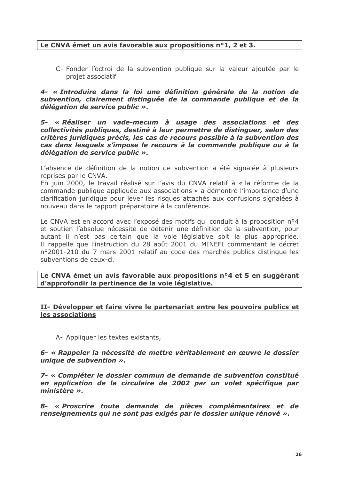### Le CNVA émet un avis favorable aux propositions n°1, 2 et 3.

C- Fonder l'octroi de la subvention publique sur la valeur ajoutée par le projet associatif

4- « Introduire dans la loi une définition générale de la notion de subvention, clairement distinguée de la commande publique et de la délégation de service public ».

5- « Réaliser un vade-mecum à usage des associations et des collectivités publiques, destiné à leur permettre de distinguer, selon des critères juridiques précis, les cas de recours possible à la subvention des cas dans lesquels s'impose le recours à la commande publique ou à la délégation de service public ».

L'absence de définition de la notion de subvention a été signalée à plusieurs reprises par le CNVA.

En juin 2000, le travail réalisé sur l'avis du CNVA relatif à « la réforme de la commande publique appliquée aux associations » a démontré l'importance d'une clarification juridique pour lever les risques attachés aux confusions signalées à nouveau dans le rapport préparatoire à la conférence.

Le CNVA est en accord avec l'exposé des motifs qui conduit à la proposition n°4 et soutien l'absolue nécessité de détenir une définition de la subvention, pour autant il n'est pas certain que la voie législative soit la plus appropriée. Il rappelle que l'instruction du 28 août 2001 du MINEFI commentant le décret nº2001-210 du 7 mars 2001 relatif au code des marchés publics distingue les subventions de ceux-ci.

Le CNVA émet un avis favorable aux propositions n°4 et 5 en suggérant d'approfondir la pertinence de la voie législative.

#### II- Développer et faire vivre le partenariat entre les pouvoirs publics et les associations

A- Appliquer les textes existants,

6- « Rappeler la nécessité de mettre véritablement en œuvre le dossier unique de subvention ».

7- « Compléter le dossier commun de demande de subvention constitué en application de la circulaire de 2002 par un volet spécifique par ministère »,

8- « Proscrire toute demande de pièces complémentaires et de renseignements qui ne sont pas exigés par le dossier unique rénové ».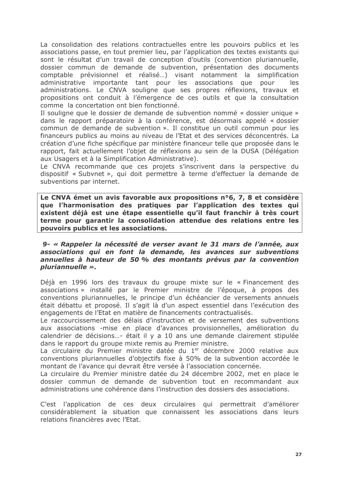La consolidation des relations contractuelles entre les pouvoirs publics et les associations passe, en tout premier lieu, par l'application des textes existants qui sont le résultat d'un travail de conception d'outils (convention pluriannuelle, dossier commun de demande de subvention, présentation des documents comptable prévisionnel et réalisé...) visant notamment la simplification administrative importante tant pour les associations que pour les administrations. Le CNVA souligne que ses propres réflexions, travaux et propositions ont conduit à l'émergence de ces outils et que la consultation comme la concertation ont bien fonctionné.

Il souligne que le dossier de demande de subvention nommé « dossier unique » dans le rapport préparatoire à la conférence, est désormais appelé « dossier commun de demande de subvention ». Il constitue un outil commun pour les financeurs publics au moins au niveau de l'Etat et des services déconcentrés. La création d'une fiche spécifique par ministère financeur telle que proposée dans le rapport, fait actuellement l'objet de réflexions au sein de la DUSA (Délégation aux Usagers et à la Simplification Administrative).

Le CNVA recommande que ces projets s'inscrivent dans la perspective du dispositif « Subvnet », qui doit permettre à terme d'effectuer la demande de subventions par internet.

Le CNVA émet un avis favorable aux propositions n°6, 7, 8 et considère que l'harmonisation des pratiques par l'application des textes qui existent déjà est une étape essentielle qu'il faut franchir à très court terme pour garantir la consolidation attendue des relations entre les pouvoirs publics et les associations.

#### 9- « Rappeler la nécessité de verser avant le 31 mars de l'année, aux associations qui en font la demande, les avances sur subventions annuelles à hauteur de 50 % des montants prévus par la convention *pluriannuelle*  $\gg$ .

Déjà en 1996 lors des travaux du groupe mixte sur le « Financement des associations » installé par le Premier ministre de l'époque, à propos des conventions pluriannuelles, le principe d'un échéancier de versements annuels était débattu et proposé. Il s'agit là d'un aspect essentiel dans l'exécution des engagements de l'Etat en matière de financements contractualisés.

Le raccourcissement des délais d'instruction et de versement des subventions aux associations -mise en place d'avances provisionnelles, amélioration du calendrier de décisions...- était il y a 10 ans une demande clairement stipulée dans le rapport du groupe mixte remis au Premier ministre.

La circulaire du Premier ministre datée du 1<sup>er</sup> décembre 2000 relative aux conventions pluriannuelles d'objectifs fixe à 50% de la subvention accordée le montant de l'avance qui devrait être versée à l'association concernée.

La circulaire du Premier ministre datée du 24 décembre 2002, met en place le dossier commun de demande de subvention tout en recommandant aux administrations une cohérence dans l'instruction des dossiers des associations.

C'est l'application de ces deux circulaires qui permettrait d'améliorer considérablement la situation que connaissent les associations dans leurs relations financières avec l'Etat.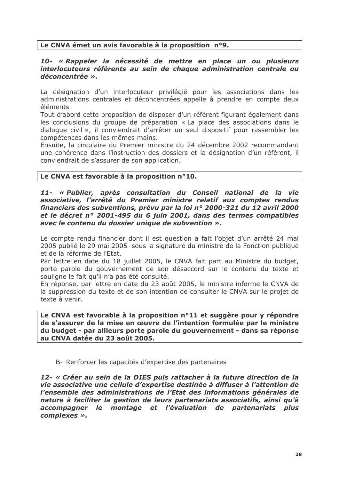# Le CNVA émet un avis favorable à la proposition n°9.

#### 10- « Rappeler la nécessité de mettre en place un ou plusieurs interlocuteurs référents au sein de chaque administration centrale ou déconcentrée ».

La désignation d'un interlocuteur privilégié pour les associations dans les administrations centrales et déconcentrées appelle à prendre en compte deux éléments

Tout d'abord cette proposition de disposer d'un référent figurant également dans les conclusions du groupe de préparation « La place des associations dans le dialogue civil », il conviendrait d'arrêter un seul dispositif pour rassembler les compétences dans les mêmes mains.

Ensuite, la circulaire du Premier ministre du 24 décembre 2002 recommandant une cohérence dans l'instruction des dossiers et la désignation d'un référent, il conviendrait de s'assurer de son application.

# Le CNVA est favorable à la proposition n°10.

#### 11- « Publier, après consultation du Conseil national de la vie associative, l'arrêté du Premier ministre relatif aux comptes rendus financiers des subventions, prévu par la loi nº 2000-321 du 12 avril 2000 et le décret n° 2001-495 du 6 juin 2001, dans des termes compatibles avec le contenu du dossier unique de subvention ».

Le compte rendu financier dont il est question a fait l'objet d'un arrêté 24 mai 2005 publié le 29 mai 2005 sous la signature du ministre de la Fonction publique et de la réforme de l'Etat.

Par lettre en date du 18 juillet 2005, le CNVA fait part au Ministre du budget, porte parole du gouvernement de son désaccord sur le contenu du texte et souligne le fait qu'il n'a pas été consulté.

En réponse, par lettre en date du 23 août 2005, le ministre informe le CNVA de la suppression du texte et de son intention de consulter le CNVA sur le projet de texte à venir.

Le CNVA est favorable à la proposition n°11 et suggère pour v répondre de s'assurer de la mise en œuvre de l'intention formulée par le ministre du budget - par ailleurs porte parole du gouvernement - dans sa réponse au CNVA datée du 23 août 2005.

#### B- Renforcer les capacités d'expertise des partenaires

12- « Créer au sein de la DIES puis rattacher à la future direction de la vie associative une cellule d'expertise destinée à diffuser à l'attention de l'ensemble des administrations de l'Etat des informations générales de nature à faciliter la gestion de leurs partenariats associatifs, ainsi qu'à accompagner le montage et l'évaluation de partenariats plus complexes ».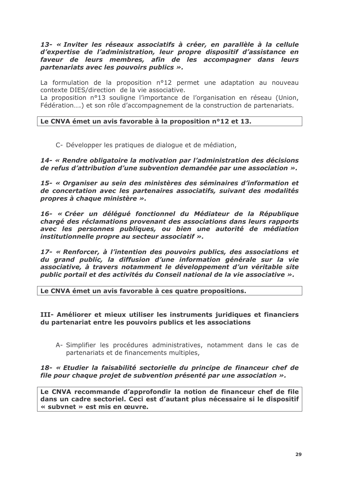#### 13- « Inviter les réseaux associatifs à créer, en parallèle à la cellule d'expertise de l'administration, leur propre dispositif d'assistance en faveur de leurs membres, afin de les accompagner dans leurs partenariats avec les pouvoirs publics ».

La formulation de la proposition nº12 permet une adaptation au nouveau contexte DIES/direction de la vie associative.

La proposition nº13 souligne l'importance de l'organisation en réseau (Union, Fédération....) et son rôle d'accompagnement de la construction de partenariats.

#### Le CNVA émet un avis favorable à la proposition n°12 et 13.

C- Développer les pratiques de dialogue et de médiation,

14- « Rendre obligatoire la motivation par l'administration des décisions de refus d'attribution d'une subvention demandée par une association  $\gg$ .

15- « Organiser au sein des ministères des séminaires d'information et de concertation avec les partenaires associatifs, suivant des modalités propres à chaque ministère ».

16- « Créer un délégué fonctionnel du Médiateur de la République chargé des réclamations provenant des associations dans leurs rapports avec les personnes publiques, ou bien une autorité de médiation institutionnelle propre au secteur associatif ».

17- « Renforcer, à l'intention des pouvoirs publics, des associations et du grand public, la diffusion d'une information générale sur la vie associative, à travers notamment le développement d'un véritable site public portail et des activités du Conseil national de la vie associative ».

Le CNVA émet un avis favorable à ces quatre propositions.

#### III- Améliorer et mieux utiliser les instruments juridiques et financiers du partenariat entre les pouvoirs publics et les associations

A- Simplifier les procédures administratives, notamment dans le cas de partenariats et de financements multiples,

#### 18- « Etudier la faisabilité sectorielle du principe de financeur chef de file pour chaque projet de subvention présenté par une association ».

Le CNVA recommande d'approfondir la notion de financeur chef de file dans un cadre sectoriel. Ceci est d'autant plus nécessaire si le dispositif « subvnet » est mis en œuvre.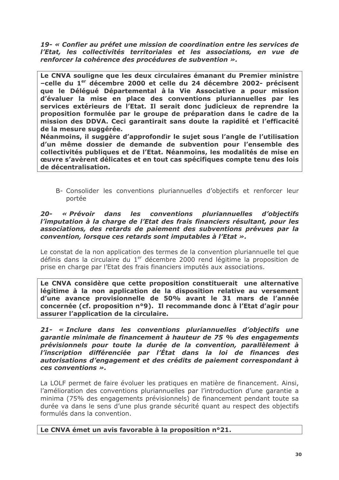19- « Confier au préfet une mission de coordination entre les services de l'Etat, les collectivités territoriales et les associations, en vue de renforcer la cohérence des procédures de subvention ».

Le CNVA souligne que les deux circulaires émanant du Premier ministre -celle du 1<sup>er</sup> décembre 2000 et celle du 24 décembre 2002- précisent que le Déléqué Départemental à la Vie Associative a pour mission d'évaluer la mise en place des conventions pluriannuelles par les services extérieurs de l'Etat. Il serait donc judicieux de reprendre la proposition formulée par le groupe de préparation dans le cadre de la mission des DDVA. Ceci garantirait sans doute la rapidité et l'efficacité de la mesure suggérée.

Néanmoins, il suggère d'approfondir le sujet sous l'angle de l'utilisation d'un même dossier de demande de subvention pour l'ensemble des collectivités publiques et de l'Etat. Néanmoins, les modalités de mise en œuvre s'avèrent délicates et en tout cas spécifiques compte tenu des lois de décentralisation.

B- Consolider les conventions pluriannuelles d'objectifs et renforcer leur portée

#### $20-$ « Prévoir dans les conventions pluriannuelles d'obiectifs l'imputation à la charge de l'Etat des frais financiers résultant, pour les associations, des retards de paiement des subventions prévues par la convention, lorsque ces retards sont imputables à l'Etat ».

Le constat de la non application des termes de la convention pluriannuelle tel que définis dans la circulaire du 1<sup>er</sup> décembre 2000 rend légitime la proposition de prise en charge par l'Etat des frais financiers imputés aux associations.

Le CNVA considère que cette proposition constituerait une alternative légitime à la non application de la disposition relative au versement d'une avance provisionnelle de 50% avant le 31 mars de l'année concernée (cf. proposition n°9). Il recommande donc à l'Etat d'agir pour assurer l'application de la circulaire.

21- « Inclure dans les conventions pluriannuelles d'objectifs une garantie minimale de financement à hauteur de 75 % des engagements prévisionnels pour toute la durée de la convention, parallèlement à l'inscription différenciée par l'État dans la loi de finances des autorisations d'engagement et des crédits de paiement correspondant à ces conventions ».

La LOLF permet de faire évoluer les pratiques en matière de financement. Ainsi, l'amélioration des conventions pluriannuelles par l'introduction d'une garantie a minima (75% des engagements prévisionnels) de financement pendant toute sa durée va dans le sens d'une plus grande sécurité quant au respect des objectifs formulés dans la convention.

Le CNVA émet un avis favorable à la proposition n°21.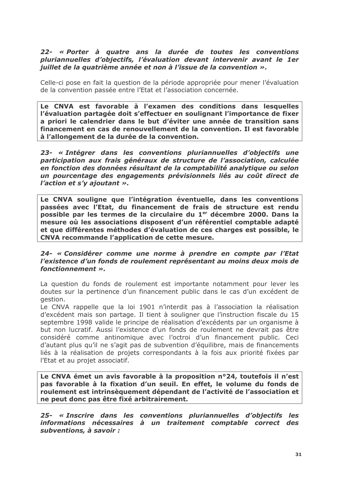#### 22- « Porter à quatre ans la durée de toutes les conventions pluriannuelles d'objectifs, l'évaluation devant intervenir avant le 1er juillet de la quatrième année et non à l'issue de la convention ».

Celle-ci pose en fait la question de la période appropriée pour mener l'évaluation de la convention passée entre l'Etat et l'association concernée.

Le CNVA est favorable à l'examen des conditions dans lesquelles l'évaluation partagée doit s'effectuer en soulignant l'importance de fixer a priori le calendrier dans le but d'éviter une année de transition sans financement en cas de renouvellement de la convention. Il est favorable à l'allongement de la durée de la convention.

23- « Intégrer dans les conventions pluriannuelles d'objectifs une participation aux frais généraux de structure de l'association, calculée en fonction des données résultant de la comptabilité analytique ou selon un pourcentage des engagements prévisionnels liés au coût direct de l'action et s'y ajoutant ».

Le CNVA souligne que l'intégration éventuelle, dans les conventions passées avec l'Etat, du financement de frais de structure est rendu possible par les termes de la circulaire du 1<sup>er</sup> décembre 2000. Dans la mesure où les associations disposent d'un référentiel comptable adapté et que différentes méthodes d'évaluation de ces charges est possible, le CNVA recommande l'application de cette mesure.

#### 24- « Considérer comme une norme à prendre en compte par l'Etat l'existence d'un fonds de roulement représentant au moins deux mois de fonctionnement ».

La question du fonds de roulement est importante notamment pour lever les doutes sur la pertinence d'un financement public dans le cas d'un excédent de gestion.

Le CNVA rappelle que la loi 1901 n'interdit pas à l'association la réalisation d'excédent mais son partage. Il tient à souligner que l'instruction fiscale du 15 septembre 1998 valide le principe de réalisation d'excédents par un organisme à but non lucratif. Aussi l'existence d'un fonds de roulement ne devrait pas être considéré comme antinomique avec l'octroi d'un financement public. Ceci d'autant plus qu'il ne s'agit pas de subvention d'équilibre, mais de financements liés à la réalisation de projets correspondants à la fois aux priorité fixées par l'Etat et au projet associatif.

Le CNVA émet un avis favorable à la proposition n°24, toutefois il n'est pas favorable à la fixation d'un seuil. En effet, le volume du fonds de roulement est intrinsèquement dépendant de l'activité de l'association et ne peut donc pas être fixé arbitrairement.

25- « Inscrire dans les conventions pluriannuelles d'objectifs les informations nécessaires à un traitement comptable correct des subventions, à savoir :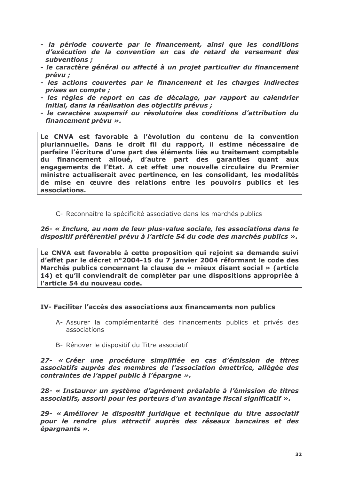- la période couverte par le financement, ainsi que les conditions d'exécution de la convention en cas de retard de versement des subventions :
- le caractère général ou affecté à un projet particulier du financement prévu ;
- les actions couvertes par le financement et les charges indirectes *prises en compte :*
- les règles de report en cas de décalage, par rapport au calendrier initial, dans la réalisation des objectifs prévus ;
- le caractère suspensif ou résolutoire des conditions d'attribution du financement prévu ».

Le CNVA est favorable à l'évolution du contenu de la convention pluriannuelle. Dans le droit fil du rapport, il estime nécessaire de parfaire l'écriture d'une part des éléments liés au traitement comptable du financement alloué, d'autre part des garanties quant aux engagements de l'Etat. A cet effet une nouvelle circulaire du Premier ministre actualiserait avec pertinence, en les consolidant, les modalités de mise en œuvre des relations entre les pouvoirs publics et les associations.

C- Reconnaître la spécificité associative dans les marchés publics

#### 26- « Inclure, au nom de leur plus-value sociale, les associations dans le dispositif préférentiel prévu à l'article 54 du code des marchés publics ».

Le CNVA est favorable à cette proposition qui rejoint sa demande suivi d'effet par le décret n°2004-15 du 7 janvier 2004 réformant le code des Marchés publics concernant la clause de « mieux disant social » (article 14) et qu'il conviendrait de compléter par une dispositions appropriée à l'article 54 du nouveau code.

#### IV- Faciliter l'accès des associations aux financements non publics

- A- Assurer la complémentarité des financements publics et privés des associations
- B- Rénover le dispositif du Titre associatif

27- « Créer une procédure simplifiée en cas d'émission de titres associatifs auprès des membres de l'association émettrice, allégée des contraintes de l'appel public à l'épargne ».

28- « Instaurer un système d'agrément préalable à l'émission de titres associatifs, assorti pour les porteurs d'un avantage fiscal significatif  $\gg$ .

29- « Améliorer le dispositif juridique et technique du titre associatif pour le rendre plus attractif auprès des réseaux bancaires et des épargnants ».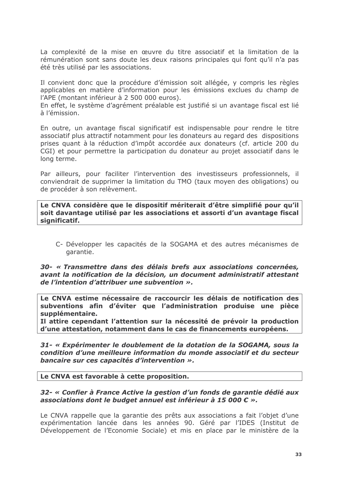La complexité de la mise en œuvre du titre associatif et la limitation de la rémunération sont sans doute les deux raisons principales qui font qu'il n'a pas été très utilisé par les associations.

Il convient donc que la procédure d'émission soit allégée, y compris les règles applicables en matière d'information pour les émissions exclues du champ de l'APE (montant inférieur à 2 500 000 euros).

En effet, le système d'agrément préalable est justifié si un avantage fiscal est lié à l'émission.

En outre, un avantage fiscal significatif est indispensable pour rendre le titre associatif plus attractif notamment pour les donateurs au regard des dispositions prises quant à la réduction d'impôt accordée aux donateurs (cf. article 200 du CGI) et pour permettre la participation du donateur au projet associatif dans le long terme.

Par ailleurs, pour faciliter l'intervention des investisseurs professionnels, il conviendrait de supprimer la limitation du TMO (taux moyen des obligations) ou de procéder à son relèvement.

Le CNVA considère que le dispositif mériterait d'être simplifié pour qu'il soit davantage utilisé par les associations et assorti d'un avantage fiscal significatif.

C- Développer les capacités de la SOGAMA et des autres mécanismes de garantie.

30- « Transmettre dans des délais brefs aux associations concernées. avant la notification de la décision, un document administratif attestant de l'intention d'attribuer une subvention ».

Le CNVA estime nécessaire de raccourcir les délais de notification des subventions afin d'éviter que l'administration produise une pièce supplémentaire.

Il attire cependant l'attention sur la nécessité de prévoir la production d'une attestation, notamment dans le cas de financements européens.

31- « Expérimenter le doublement de la dotation de la SOGAMA, sous la condition d'une meilleure information du monde associatif et du secteur bancaire sur ces capacités d'intervention ».

#### Le CNVA est favorable à cette proposition.

#### 32- « Confier à France Active la gestion d'un fonds de garantie dédié aux associations dont le budget annuel est inférieur à 15 000  $\epsilon \rightarrow$ .

Le CNVA rappelle que la garantie des prêts aux associations a fait l'objet d'une expérimentation lancée dans les années 90. Géré par l'IDES (Institut de Développement de l'Economie Sociale) et mis en place par le ministère de la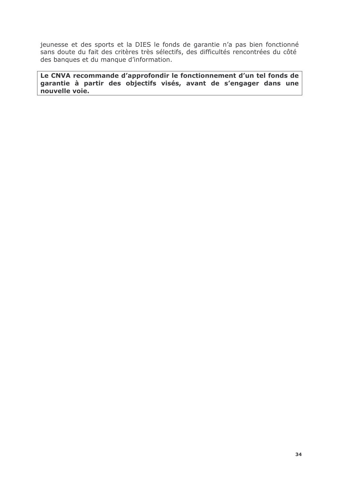jeunesse et des sports et la DIES le fonds de garantie n'a pas bien fonctionné sans doute du fait des critères très sélectifs, des difficultés rencontrées du côté des banques et du manque d'information.

Le CNVA recommande d'approfondir le fonctionnement d'un tel fonds de garantie à partir des objectifs visés, avant de s'engager dans une nouvelle voie.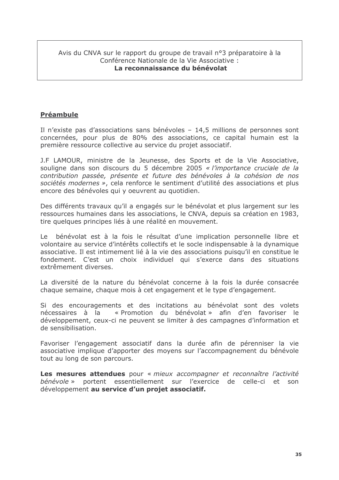#### Avis du CNVA sur le rapport du groupe de travail n°3 préparatoire à la Conférence Nationale de la Vie Associative : La reconnaissance du bénévolat

# Préambule

Il n'existe pas d'associations sans bénévoles - 14,5 millions de personnes sont concernées, pour plus de 80% des associations, ce capital humain est la première ressource collective au service du projet associatif.

J.F LAMOUR, ministre de la Jeunesse, des Sports et de la Vie Associative, souligne dans son discours du 5 décembre 2005 « l'importance cruciale de la contribution passée, présente et future des bénévoles à la cohésion de nos sociétés modernes », cela renforce le sentiment d'utilité des associations et plus encore des bénévoles qui y oeuvrent au quotidien.

Des différents travaux qu'il a engagés sur le bénévolat et plus largement sur les ressources humaines dans les associations, le CNVA, depuis sa création en 1983, tire quelques principes liés à une réalité en mouvement.

bénévolat est à la fois le résultat d'une implication personnelle libre et  $e$ volontaire au service d'intérêts collectifs et le socle indispensable à la dynamique associative. Il est intimement lié à la vie des associations puisqu'il en constitue le fondement. C'est un choix individuel qui s'exerce dans des situations extrêmement diverses

La diversité de la nature du bénévolat concerne à la fois la durée consacrée chaque semaine, chaque mois à cet engagement et le type d'engagement.

Si des encouragements et des incitations au bénévolat sont des volets nécessaires à la « Promotion du bénévolat » afin d'en favoriser le développement, ceux-ci ne peuvent se limiter à des campagnes d'information et de sensibilisation.

Favoriser l'engagement associatif dans la durée afin de pérenniser la vie associative implique d'apporter des moyens sur l'accompagnement du bénévole tout au long de son parcours.

Les mesures attendues pour « mieux accompagner et reconnaître l'activité bénévole » portent essentiellement sur l'exercice de celle-ci et son développement au service d'un projet associatif.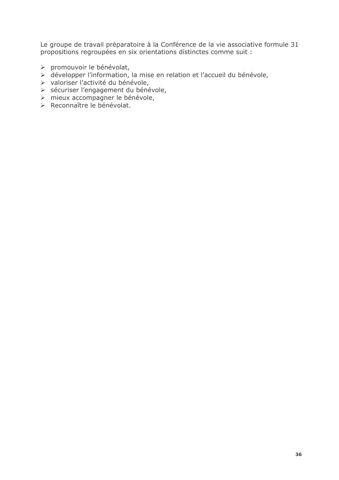Le groupe de travail préparatoire à la Conférence de la vie associative formule 31 propositions regroupées en six orientations distinctes comme suit :

- 
- > promouvoir le bénévolat,<br>> développer l'information, la mise en relation et l'accueil du bénévole,
- 
- > valoriser l'activité du bénévole,<br>> sécuriser l'engagement du bénévole,
- > mieux accompagner le bénévole,
- > Reconnaître le bénévolat.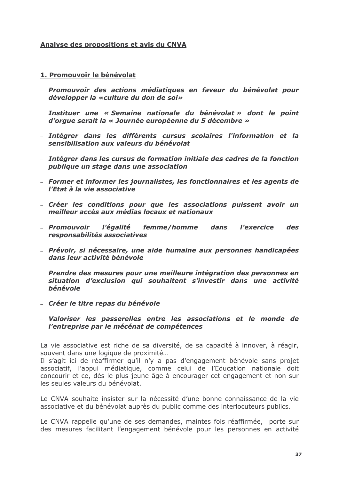#### Analyse des propositions et avis du CNVA

#### 1. Promouvoir le bénévolat

- Promouvoir des actions médiatiques en faveur du bénévolat pour développer la «culture du don de soi»
- Instituer une « Semaine nationale du bénévolat » dont le point d'orgue serait la « Journée européenne du 5 décembre »
- Intégrer dans les différents cursus scolaires l'information et la sensibilisation aux valeurs du bénévolat
- Intégrer dans les cursus de formation initiale des cadres de la fonction publique un stage dans une association
- Former et informer les journalistes, les fonctionnaires et les agents de l'Etat à la vie associative
- Créer les conditions pour que les associations puissent avoir un meilleur accès aux médias locaux et nationaux
- Promouvoir l'égalité femme/homme dans *l'exercice* des responsabilités associatives
- Prévoir, si nécessaire, une aide humaine aux personnes handicapées dans leur activité bénévole
- Prendre des mesures pour une meilleure intégration des personnes en situation d'exclusion qui souhaitent s'investir dans une activité bénévole
- Créer le titre repas du bénévole
- Valoriser les passerelles entre les associations et le monde de l'entreprise par le mécénat de compétences

La vie associative est riche de sa diversité, de sa capacité à innover, à réagir, souvent dans une logique de proximité...

Il s'agit ici de réaffirmer qu'il n'y a pas d'engagement bénévole sans projet associatif, l'appui médiatique, comme celui de l'Education nationale doit concourir et ce, dès le plus jeune âge à encourager cet engagement et non sur les seules valeurs du bénévolat.

Le CNVA soubaite insister sur la nécessité d'une bonne connaissance de la vie associative et du bénévolat auprès du public comme des interlocuteurs publics.

Le CNVA rappelle qu'une de ses demandes, maintes fois réaffirmée, porte sur des mesures facilitant l'engagement bénévole pour les personnes en activité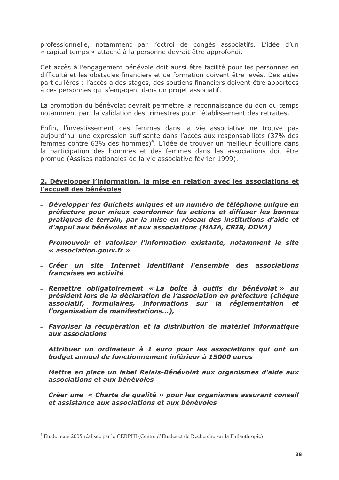professionnelle, notamment par l'octroi de congés associatifs. L'idée d'un « capital temps » attaché à la personne devrait être approfondi.

Cet accès à l'engagement bénévole doit aussi être facilité pour les personnes en difficulté et les obstacles financiers et de formation doivent être levés. Des aides particulières : l'accès à des stages, des soutiens financiers doivent être apportées à ces personnes qui s'engagent dans un projet associatif.

La promotion du bénévolat devrait permettre la reconnaissance du don du temps notamment par la validation des trimestres pour l'établissement des retraites.

Enfin, l'investissement des femmes dans la vie associative ne trouve pas aujourd'hui une expression suffisante dans l'accès aux responsabilités (37% des femmes contre 63% des hommes)<sup>4</sup>. L'idée de trouver un meilleur équilibre dans la participation des hommes et des femmes dans les associations doit être promue (Assises nationales de la vie associative février 1999).

#### 2. Développer l'information, la mise en relation avec les associations et l'accueil des bénévoles

- Développer les Guichets uniques et un numéro de téléphone unique en préfecture pour mieux coordonner les actions et diffuser les bonnes pratiques de terrain, par la mise en réseau des institutions d'aide et d'appui aux bénévoles et aux associations (MAIA, CRIB, DDVA)
- Promouvoir et valoriser l'information existante, notamment le site « association.gouv.fr »
- Créer un site Internet identifiant l'ensemble des associations francaises en activité
- Remettre obligatoirement « La boîte à outils du bénévolat » au président lors de la déclaration de l'association en préfecture (chèque associatif, formulaires, informations sur la réglementation et l'organisation de manifestations...),
- Favoriser la récupération et la distribution de matériel informatique aux associations
- Attribuer un ordinateur à 1 euro pour les associations qui ont un budget annuel de fonctionnement inférieur à 15000 euros
- Mettre en place un label Relais-Bénévolat aux organismes d'aide aux associations et aux bénévoles
- Créer une « Charte de qualité » pour les organismes assurant conseil et assistance aux associations et aux bénévoles

<sup>&</sup>lt;sup>4</sup> Etude mars 2005 réalisée par le CERPHI (Centre d'Etudes et de Recherche sur la Philanthropie)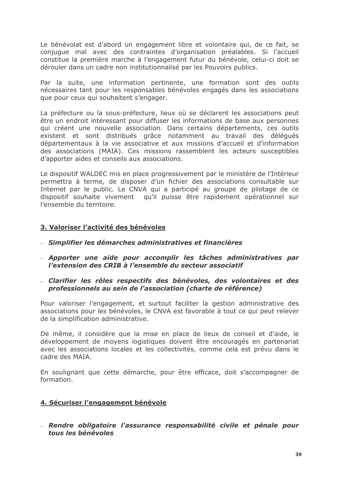Le bénévolat est d'abord un engagement libre et volontaire qui, de ce fait, se conjugue mal avec des contraintes d'organisation préalables. Si l'accueil constitue la première marche à l'engagement futur du bénévole, celui-ci doit se dérouler dans un cadre non institutionnalisé par les Pouvoirs publics.

Par la suite, une information pertinente, une formation sont des outils nécessaires tant pour les responsables bénévoles engagés dans les associations que pour ceux qui souhaitent s'engager.

La préfecture ou la sous-préfecture, lieux où se déclarent les associations peut être un endroit intéressant pour diffuser les informations de base aux personnes qui créent une nouvelle association. Dans certains départements, ces outils existent et sont distribués grâce notamment au travail des déléqués départementaux à la vie associative et aux missions d'accueil et d'information des associations (MAIA). Ces missions rassemblent les acteurs susceptibles d'apporter aides et conseils aux associations.

Le dispositif WALDEC mis en place progressivement par le ministère de l'Intérieur permettra à terme, de disposer d'un fichier des associations consultable sur Internet par le public. Le CNVA qui a participé au groupe de pilotage de ce dispositif souhaite vivement qu'il puisse être rapidement opérationnel sur l'ensemble du territoire.

# 3. Valoriser l'activité des bénévoles

- Simplifier les démarches administratives et financières
- Apporter une aide pour accomplir les tâches administratives par l'extension des CRIB à l'ensemble du secteur associatif
- Clarifier les rôles respectifs des bénévoles, des volontaires et des professionnels au sein de l'association (charte de référence)

Pour valoriser l'engagement, et surtout faciliter la gestion administrative des associations pour les bénévoles, le CNVA est favorable à tout ce qui peut relever de la simplification administrative.

De même, il considère que la mise en place de lieux de conseil et d'aide, le développement de moyens logistiques doivent être encouragés en partenariat avec les associations locales et les collectivités, comme cela est prévu dans le cadre des MAIA

En soulignant que cette démarche, pour être efficace, doit s'accompagner de formation

#### 4. Sécuriser l'engagement bénévole

- Rendre obligatoire l'assurance responsabilité civile et pénale pour tous les bénévoles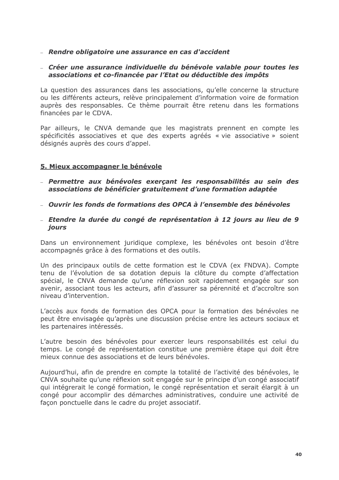#### - Rendre obligatoire une assurance en cas d'accident

#### - Créer une assurance individuelle du bénévole valable pour toutes les associations et co-financée par l'Etat ou déductible des impôts

La question des assurances dans les associations, qu'elle concerne la structure ou les différents acteurs, relève principalement d'information voire de formation auprès des responsables. Ce thème pourrait être retenu dans les formations financées par le CDVA.

Par ailleurs, le CNVA demande que les magistrats prennent en compte les spécificités associatives et que des experts agréés « vie associative » soient désignés auprès des cours d'appel.

#### 5. Mieux accompagner le bénévole

- Permettre aux bénévoles exercant les responsabilités au sein des associations de bénéficier gratuitement d'une formation adaptée
- Quvrir les fonds de formations des OPCA à l'ensemble des bénévoles
- Etendre la durée du congé de représentation à 12 jours au lieu de 9 jours

Dans un environnement juridique complexe, les bénévoles ont besoin d'être accompagnés grâce à des formations et des outils.

Un des principaux outils de cette formation est le CDVA (ex FNDVA). Compte tenu de l'évolution de sa dotation depuis la clôture du compte d'affectation spécial, le CNVA demande qu'une réflexion soit rapidement engagée sur son avenir, associant tous les acteurs, afin d'assurer sa pérennité et d'accroître son niveau d'intervention.

L'accès aux fonds de formation des OPCA pour la formation des bénévoles ne peut être envisagée qu'après une discussion précise entre les acteurs sociaux et les partenaires intéressés.

L'autre besoin des bénévoles pour exercer leurs responsabilités est celui du temps. Le congé de représentation constitue une première étape qui doit être mieux connue des associations et de leurs bénévoles.

Aujourd'hui, afin de prendre en compte la totalité de l'activité des bénévoles, le CNVA souhaite qu'une réflexion soit engagée sur le principe d'un congé associatif qui intégrerait le congé formation, le congé représentation et serait élargit à un congé pour accomplir des démarches administratives, conduire une activité de facon ponctuelle dans le cadre du projet associatif.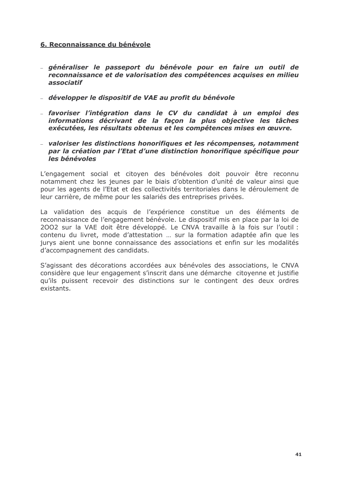#### 6. Reconnaissance du bénévole

- généraliser le passeport du bénévole pour en faire un outil de reconnaissance et de valorisation des compétences acquises en milieu associatif
- développer le dispositif de VAE au profit du bénévole
- favoriser l'intégration dans le CV du candidat à un emploi des informations décrivant de la façon la plus objective les tâches exécutées, les résultats obtenus et les compétences mises en œuvre.
- valoriser les distinctions honorifiques et les récompenses, notamment par la création par l'Etat d'une distinction honorifique spécifique pour les bénévoles

L'engagement social et citoyen des bénévoles doit pouvoir être reconnu notamment chez les jeunes par le biais d'obtention d'unité de valeur ainsi que pour les agents de l'Etat et des collectivités territoriales dans le déroulement de leur carrière, de même pour les salariés des entreprises privées.

La validation des acquis de l'expérience constitue un des éléments de reconnaissance de l'engagement bénévole. Le dispositif mis en place par la loi de 2002 sur la VAE doit être développé. Le CNVA travaille à la fois sur l'outil : contenu du livret, mode d'attestation ... sur la formation adaptée afin que les jurys aient une bonne connaissance des associations et enfin sur les modalités d'accompagnement des candidats.

S'agissant des décorations accordées aux bénévoles des associations, le CNVA considère que leur engagement s'inscrit dans une démarche citoyenne et justifie qu'ils puissent recevoir des distinctions sur le contingent des deux ordres existants.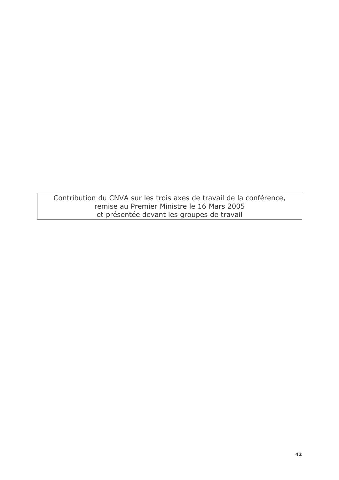Contribution du CNVA sur les trois axes de travail de la conférence, remise au Premier Ministre le 16 Mars 2005 et présentée devant les groupes de travail